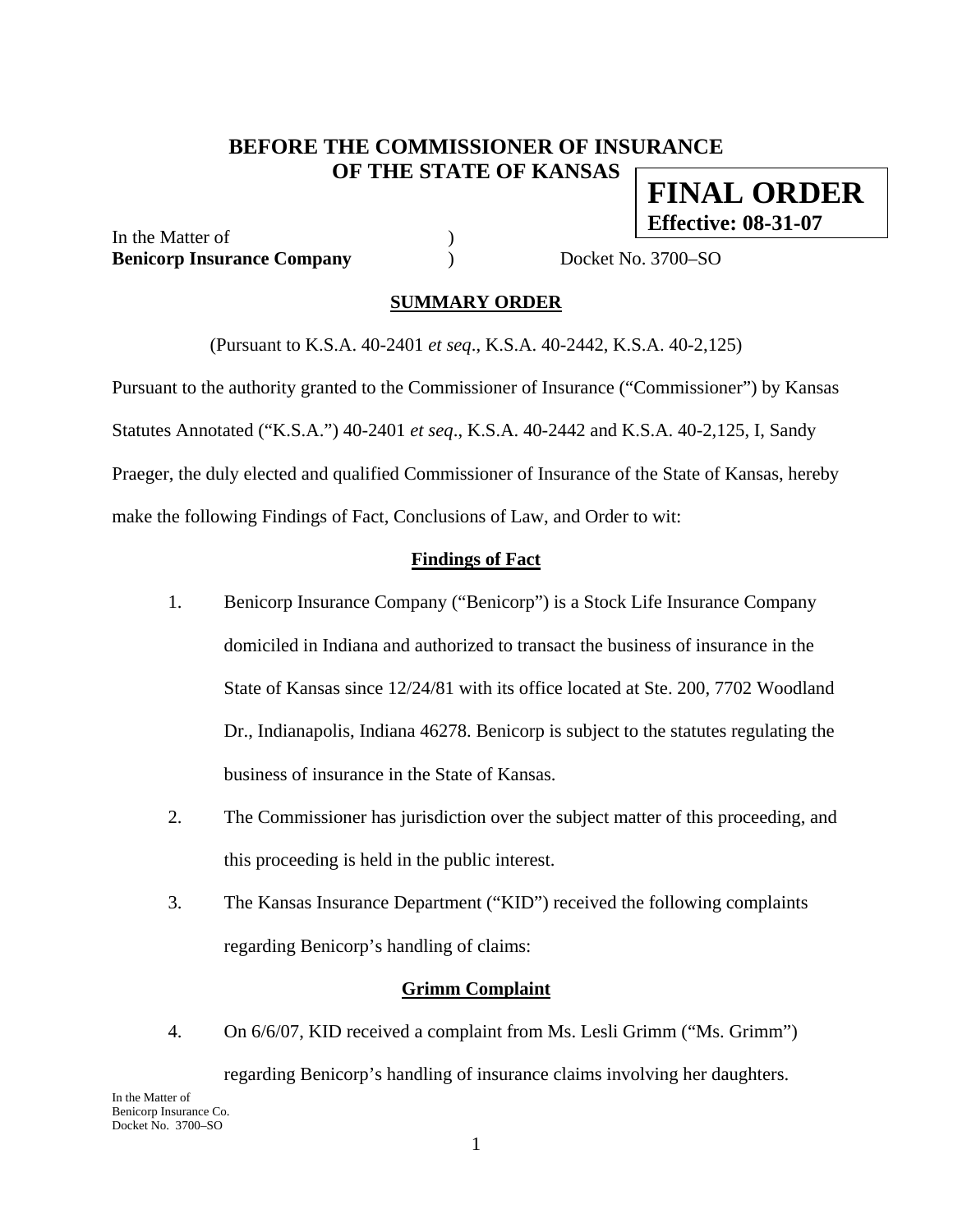# **BEFORE THE COMMISSIONER OF INSURANCE OF THE STATE OF KANSAS FINAL ORDER**

In the Matter of  $\qquad \qquad$  ) **Benicorp Insurance Company )** Docket No. 3700–SO

**Effective: 08-31-07**

### **SUMMARY ORDER**

(Pursuant to K.S.A. 40-2401 *et seq*., K.S.A. 40-2442, K.S.A. 40-2,125)

Pursuant to the authority granted to the Commissioner of Insurance ("Commissioner") by Kansas Statutes Annotated ("K.S.A.") 40-2401 *et seq*., K.S.A. 40-2442 and K.S.A. 40-2,125, I, Sandy Praeger, the duly elected and qualified Commissioner of Insurance of the State of Kansas, hereby make the following Findings of Fact, Conclusions of Law, and Order to wit:

## **Findings of Fact**

- 1. Benicorp Insurance Company ("Benicorp") is a Stock Life Insurance Company domiciled in Indiana and authorized to transact the business of insurance in the State of Kansas since 12/24/81 with its office located at Ste. 200, 7702 Woodland Dr., Indianapolis, Indiana 46278. Benicorp is subject to the statutes regulating the business of insurance in the State of Kansas.
- 2. The Commissioner has jurisdiction over the subject matter of this proceeding, and this proceeding is held in the public interest.
- 3. The Kansas Insurance Department ("KID") received the following complaints regarding Benicorp's handling of claims:

### **Grimm Complaint**

4. On 6/6/07, KID received a complaint from Ms. Lesli Grimm ("Ms. Grimm") regarding Benicorp's handling of insurance claims involving her daughters.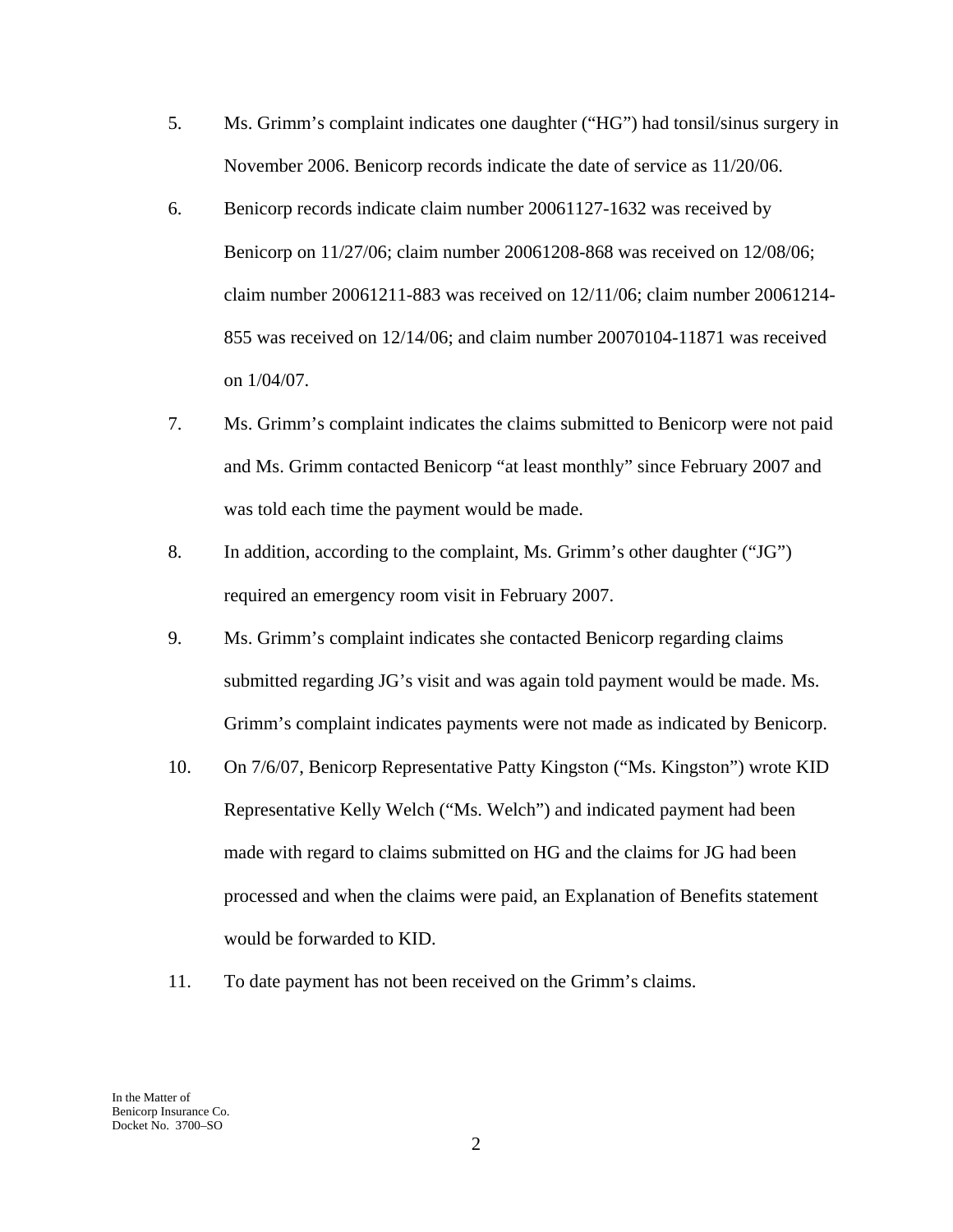- 5. Ms. Grimm's complaint indicates one daughter ("HG") had tonsil/sinus surgery in November 2006. Benicorp records indicate the date of service as 11/20/06.
- 6. Benicorp records indicate claim number 20061127-1632 was received by Benicorp on 11/27/06; claim number 20061208-868 was received on 12/08/06; claim number 20061211-883 was received on 12/11/06; claim number 20061214- 855 was received on 12/14/06; and claim number 20070104-11871 was received on 1/04/07.
- 7. Ms. Grimm's complaint indicates the claims submitted to Benicorp were not paid and Ms. Grimm contacted Benicorp "at least monthly" since February 2007 and was told each time the payment would be made.
- 8. In addition, according to the complaint, Ms. Grimm's other daughter ("JG") required an emergency room visit in February 2007.
- 9. Ms. Grimm's complaint indicates she contacted Benicorp regarding claims submitted regarding JG's visit and was again told payment would be made. Ms. Grimm's complaint indicates payments were not made as indicated by Benicorp.
- 10. On 7/6/07, Benicorp Representative Patty Kingston ("Ms. Kingston") wrote KID Representative Kelly Welch ("Ms. Welch") and indicated payment had been made with regard to claims submitted on HG and the claims for JG had been processed and when the claims were paid, an Explanation of Benefits statement would be forwarded to KID.
- 11. To date payment has not been received on the Grimm's claims.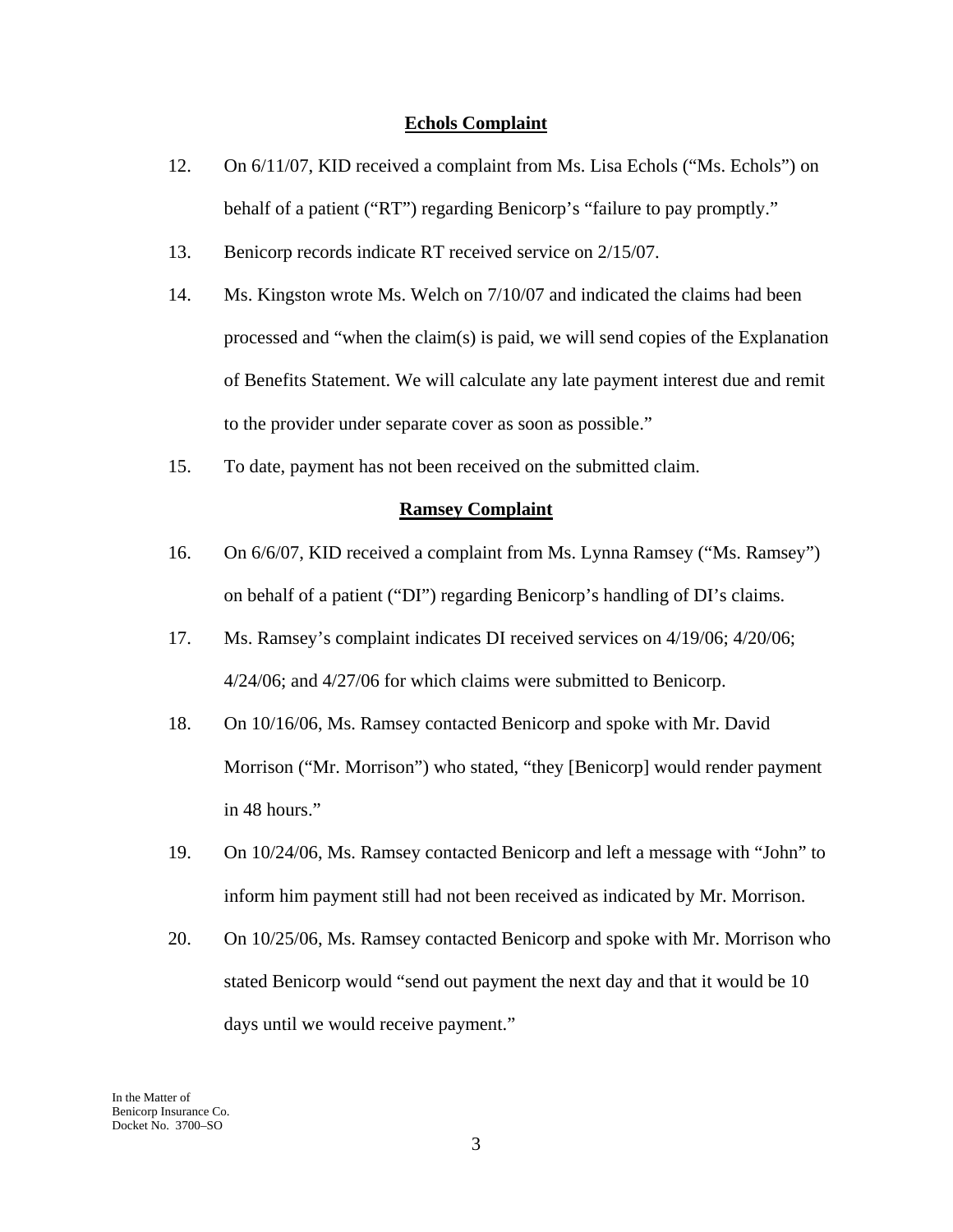### **Echols Complaint**

- 12. On 6/11/07, KID received a complaint from Ms. Lisa Echols ("Ms. Echols") on behalf of a patient ("RT") regarding Benicorp's "failure to pay promptly."
- 13. Benicorp records indicate RT received service on 2/15/07.
- 14. Ms. Kingston wrote Ms. Welch on 7/10/07 and indicated the claims had been processed and "when the claim(s) is paid, we will send copies of the Explanation of Benefits Statement. We will calculate any late payment interest due and remit to the provider under separate cover as soon as possible."
- 15. To date, payment has not been received on the submitted claim.

#### **Ramsey Complaint**

- 16. On 6/6/07, KID received a complaint from Ms. Lynna Ramsey ("Ms. Ramsey") on behalf of a patient ("DI") regarding Benicorp's handling of DI's claims.
- 17. Ms. Ramsey's complaint indicates DI received services on 4/19/06; 4/20/06; 4/24/06; and 4/27/06 for which claims were submitted to Benicorp.
- 18. On 10/16/06, Ms. Ramsey contacted Benicorp and spoke with Mr. David Morrison ("Mr. Morrison") who stated, "they [Benicorp] would render payment in 48 hours."
- 19. On 10/24/06, Ms. Ramsey contacted Benicorp and left a message with "John" to inform him payment still had not been received as indicated by Mr. Morrison.
- 20. On 10/25/06, Ms. Ramsey contacted Benicorp and spoke with Mr. Morrison who stated Benicorp would "send out payment the next day and that it would be 10 days until we would receive payment."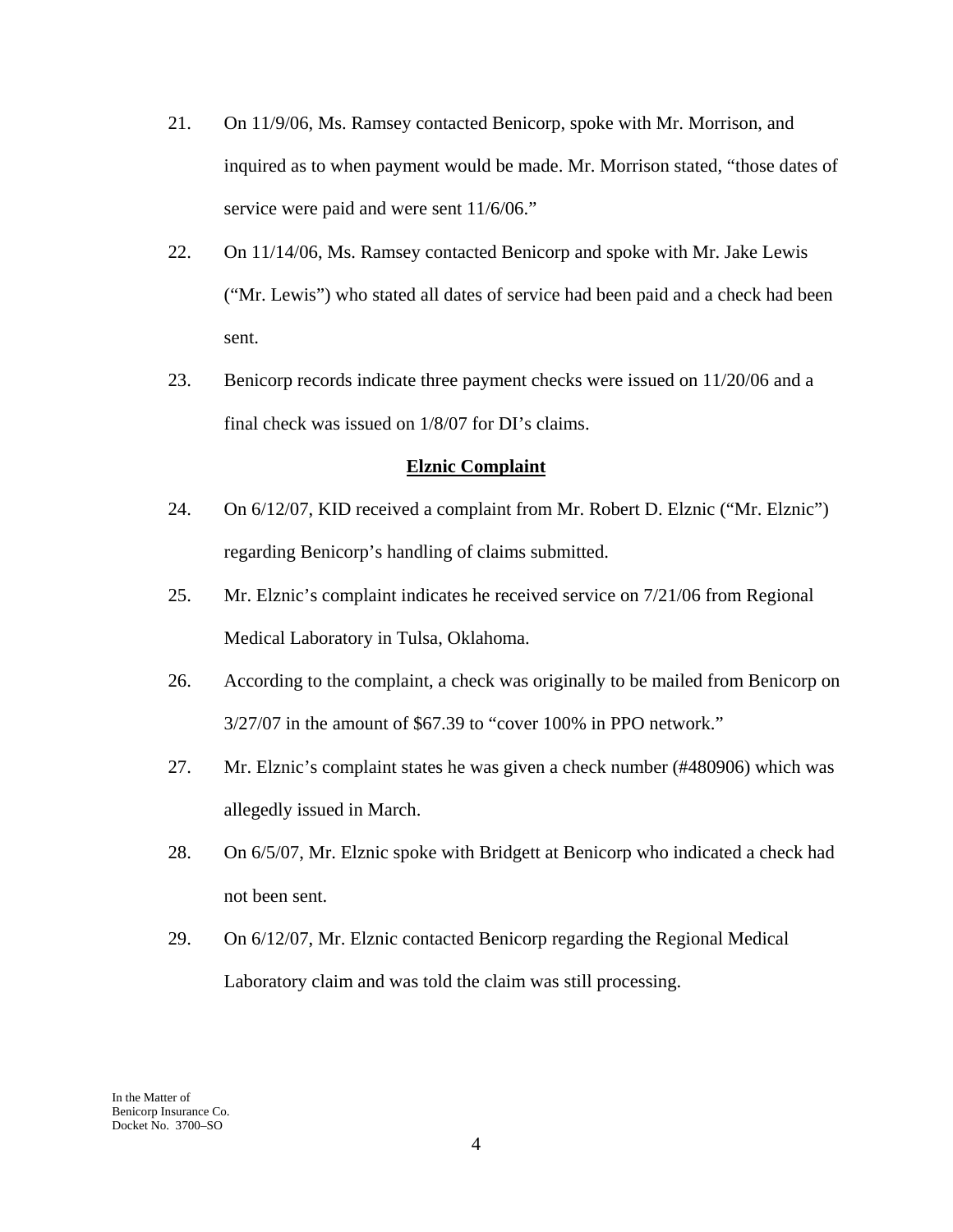- 21. On 11/9/06, Ms. Ramsey contacted Benicorp, spoke with Mr. Morrison, and inquired as to when payment would be made. Mr. Morrison stated, "those dates of service were paid and were sent  $11/6/06$ ."
- 22. On 11/14/06, Ms. Ramsey contacted Benicorp and spoke with Mr. Jake Lewis ("Mr. Lewis") who stated all dates of service had been paid and a check had been sent.
- 23. Benicorp records indicate three payment checks were issued on 11/20/06 and a final check was issued on 1/8/07 for DI's claims.

### **Elznic Complaint**

- 24. On 6/12/07, KID received a complaint from Mr. Robert D. Elznic ("Mr. Elznic") regarding Benicorp's handling of claims submitted.
- 25. Mr. Elznic's complaint indicates he received service on 7/21/06 from Regional Medical Laboratory in Tulsa, Oklahoma.
- 26. According to the complaint, a check was originally to be mailed from Benicorp on 3/27/07 in the amount of \$67.39 to "cover 100% in PPO network."
- 27. Mr. Elznic's complaint states he was given a check number (#480906) which was allegedly issued in March.
- 28. On 6/5/07, Mr. Elznic spoke with Bridgett at Benicorp who indicated a check had not been sent.
- 29. On 6/12/07, Mr. Elznic contacted Benicorp regarding the Regional Medical Laboratory claim and was told the claim was still processing.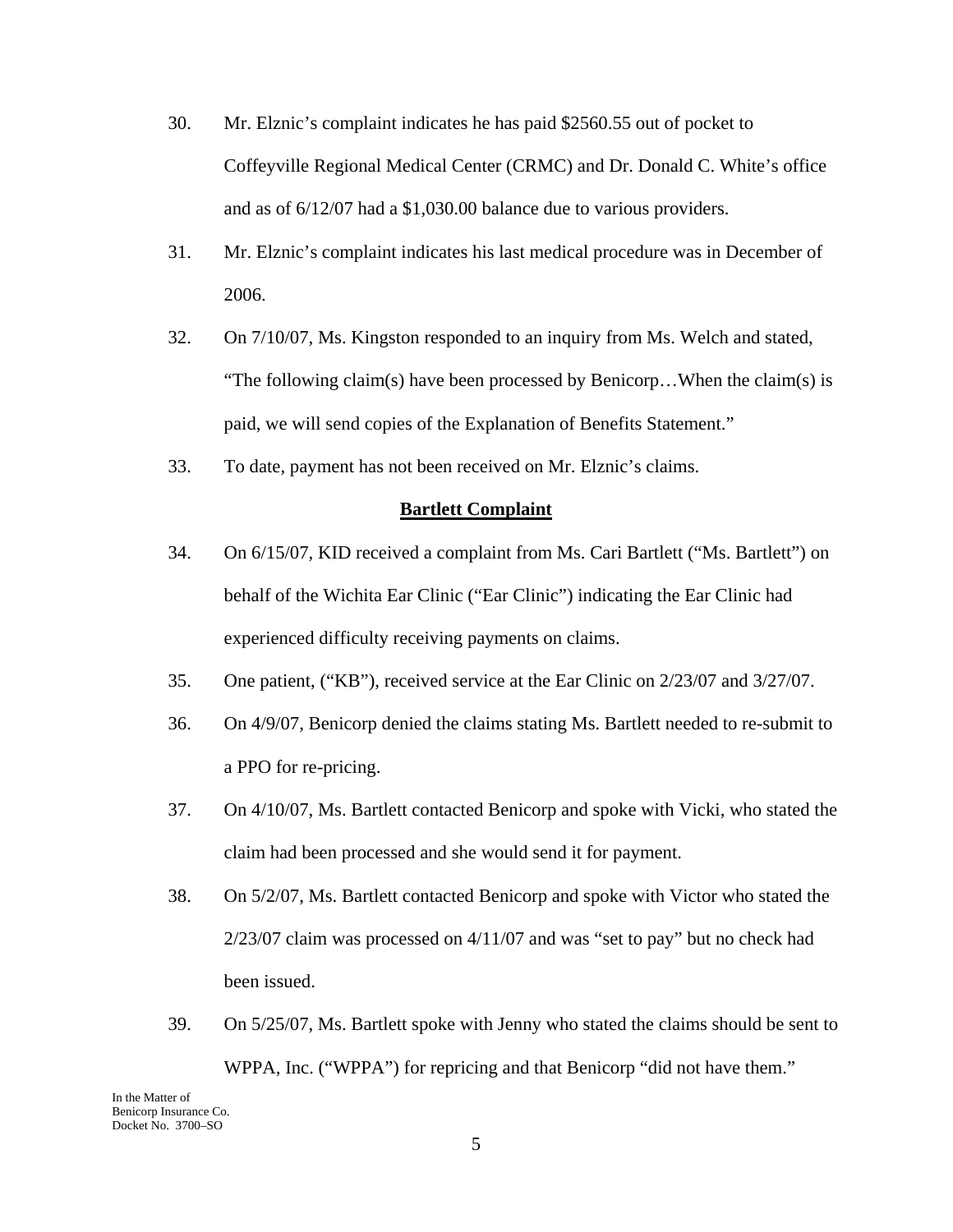- 30. Mr. Elznic's complaint indicates he has paid \$2560.55 out of pocket to Coffeyville Regional Medical Center (CRMC) and Dr. Donald C. White's office and as of 6/12/07 had a \$1,030.00 balance due to various providers.
- 31. Mr. Elznic's complaint indicates his last medical procedure was in December of 2006.
- 32. On 7/10/07, Ms. Kingston responded to an inquiry from Ms. Welch and stated, "The following claim(s) have been processed by Benicorp...When the claim(s) is paid, we will send copies of the Explanation of Benefits Statement."
- 33. To date, payment has not been received on Mr. Elznic's claims.

#### **Bartlett Complaint**

- 34. On 6/15/07, KID received a complaint from Ms. Cari Bartlett ("Ms. Bartlett") on behalf of the Wichita Ear Clinic ("Ear Clinic") indicating the Ear Clinic had experienced difficulty receiving payments on claims.
- 35. One patient, ("KB"), received service at the Ear Clinic on 2/23/07 and 3/27/07.
- 36. On 4/9/07, Benicorp denied the claims stating Ms. Bartlett needed to re-submit to a PPO for re-pricing.
- 37. On 4/10/07, Ms. Bartlett contacted Benicorp and spoke with Vicki, who stated the claim had been processed and she would send it for payment.
- 38. On 5/2/07, Ms. Bartlett contacted Benicorp and spoke with Victor who stated the 2/23/07 claim was processed on 4/11/07 and was "set to pay" but no check had been issued.
- 39. On 5/25/07, Ms. Bartlett spoke with Jenny who stated the claims should be sent to WPPA, Inc. ("WPPA") for repricing and that Benicorp "did not have them."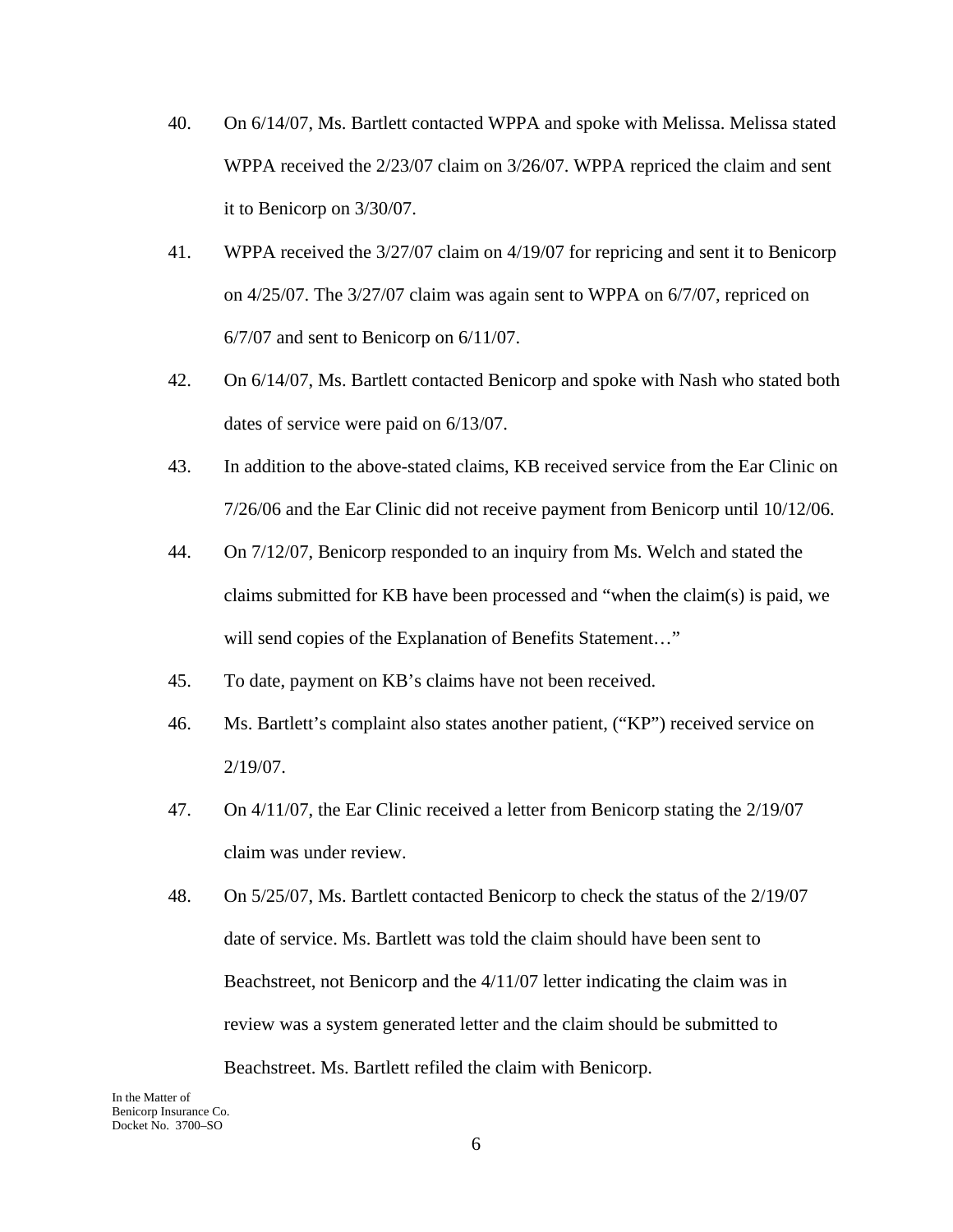- 40. On 6/14/07, Ms. Bartlett contacted WPPA and spoke with Melissa. Melissa stated WPPA received the 2/23/07 claim on 3/26/07. WPPA repriced the claim and sent it to Benicorp on 3/30/07.
- 41. WPPA received the 3/27/07 claim on 4/19/07 for repricing and sent it to Benicorp on 4/25/07. The 3/27/07 claim was again sent to WPPA on 6/7/07, repriced on 6/7/07 and sent to Benicorp on 6/11/07.
- 42. On 6/14/07, Ms. Bartlett contacted Benicorp and spoke with Nash who stated both dates of service were paid on 6/13/07.
- 43. In addition to the above-stated claims, KB received service from the Ear Clinic on 7/26/06 and the Ear Clinic did not receive payment from Benicorp until 10/12/06.
- 44. On 7/12/07, Benicorp responded to an inquiry from Ms. Welch and stated the claims submitted for KB have been processed and "when the claim(s) is paid, we will send copies of the Explanation of Benefits Statement..."
- 45. To date, payment on KB's claims have not been received.
- 46. Ms. Bartlett's complaint also states another patient, ("KP") received service on 2/19/07.
- 47. On 4/11/07, the Ear Clinic received a letter from Benicorp stating the 2/19/07 claim was under review.
- 48. On 5/25/07, Ms. Bartlett contacted Benicorp to check the status of the 2/19/07 date of service. Ms. Bartlett was told the claim should have been sent to Beachstreet, not Benicorp and the 4/11/07 letter indicating the claim was in review was a system generated letter and the claim should be submitted to Beachstreet. Ms. Bartlett refiled the claim with Benicorp.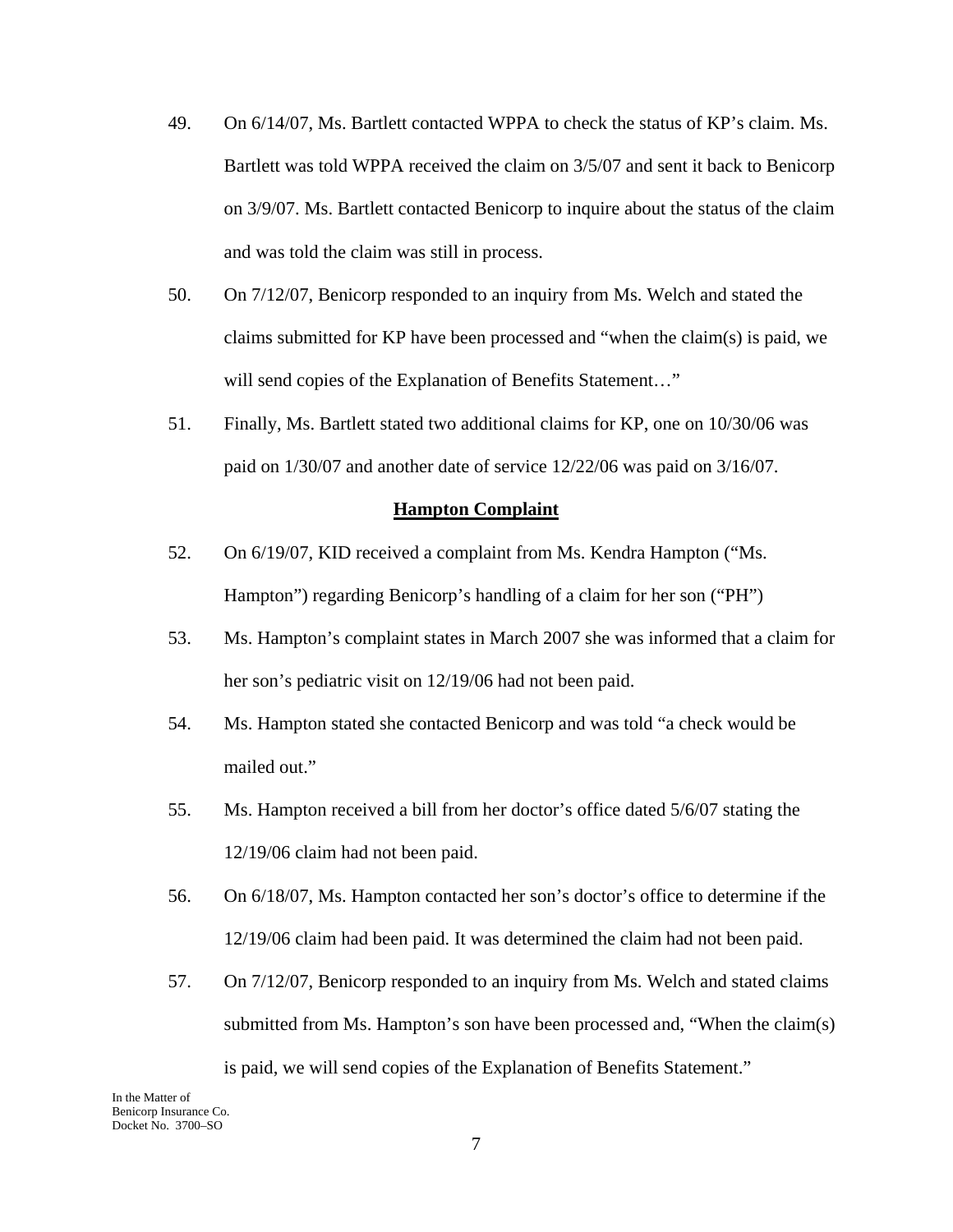- 49. On 6/14/07, Ms. Bartlett contacted WPPA to check the status of KP's claim. Ms. Bartlett was told WPPA received the claim on 3/5/07 and sent it back to Benicorp on 3/9/07. Ms. Bartlett contacted Benicorp to inquire about the status of the claim and was told the claim was still in process.
- 50. On 7/12/07, Benicorp responded to an inquiry from Ms. Welch and stated the claims submitted for KP have been processed and "when the claim(s) is paid, we will send copies of the Explanation of Benefits Statement..."
- 51. Finally, Ms. Bartlett stated two additional claims for KP, one on 10/30/06 was paid on 1/30/07 and another date of service 12/22/06 was paid on 3/16/07.

#### **Hampton Complaint**

- 52. On 6/19/07, KID received a complaint from Ms. Kendra Hampton ("Ms. Hampton") regarding Benicorp's handling of a claim for her son ("PH")
- 53. Ms. Hampton's complaint states in March 2007 she was informed that a claim for her son's pediatric visit on 12/19/06 had not been paid.
- 54. Ms. Hampton stated she contacted Benicorp and was told "a check would be mailed out."
- 55. Ms. Hampton received a bill from her doctor's office dated 5/6/07 stating the 12/19/06 claim had not been paid.
- 56. On 6/18/07, Ms. Hampton contacted her son's doctor's office to determine if the 12/19/06 claim had been paid. It was determined the claim had not been paid.
- 57. On 7/12/07, Benicorp responded to an inquiry from Ms. Welch and stated claims submitted from Ms. Hampton's son have been processed and, "When the claim(s) is paid, we will send copies of the Explanation of Benefits Statement."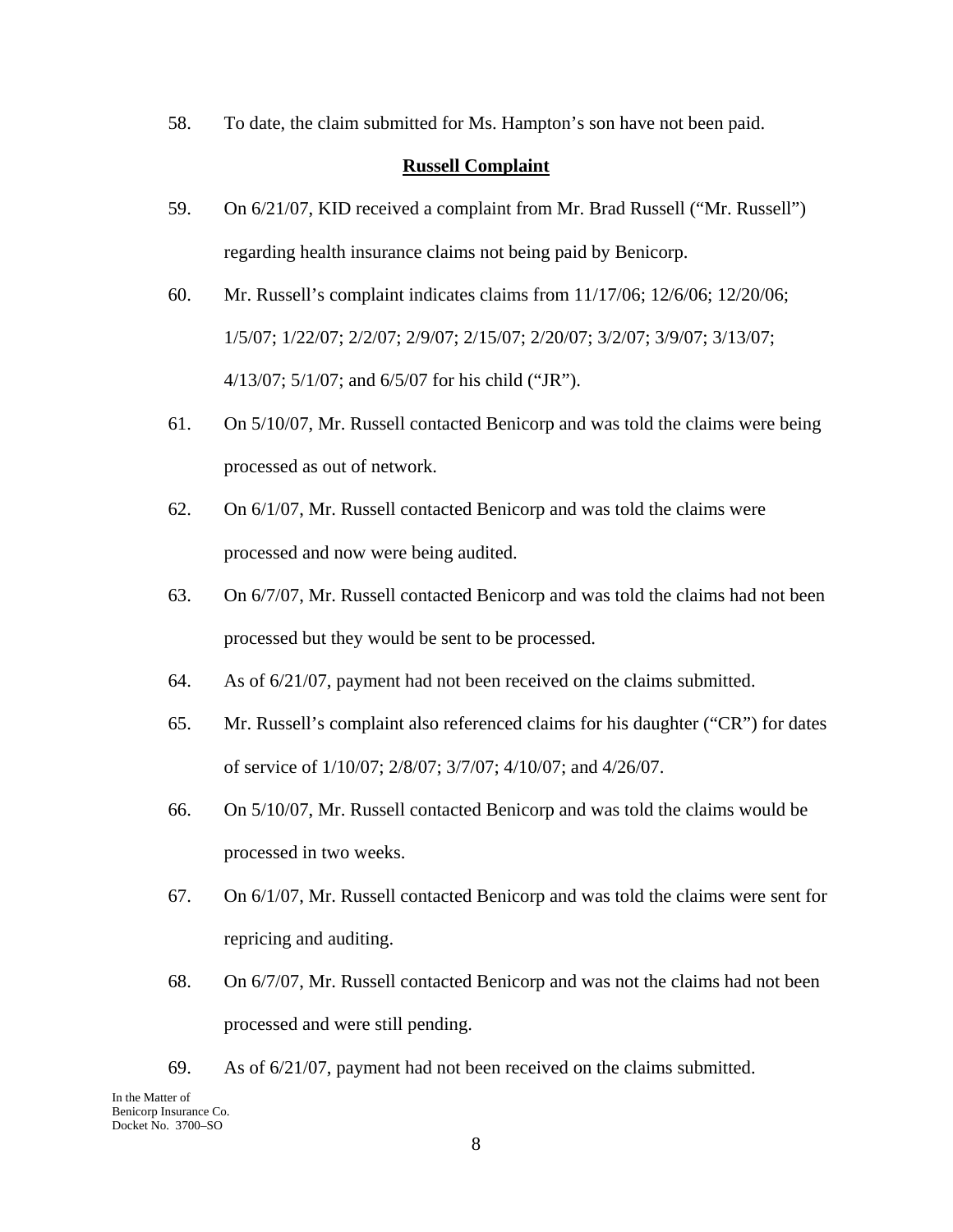58. To date, the claim submitted for Ms. Hampton's son have not been paid.

### **Russell Complaint**

- 59. On 6/21/07, KID received a complaint from Mr. Brad Russell ("Mr. Russell") regarding health insurance claims not being paid by Benicorp.
- 60. Mr. Russell's complaint indicates claims from 11/17/06; 12/6/06; 12/20/06; 1/5/07; 1/22/07; 2/2/07; 2/9/07; 2/15/07; 2/20/07; 3/2/07; 3/9/07; 3/13/07; 4/13/07; 5/1/07; and 6/5/07 for his child ("JR").
- 61. On 5/10/07, Mr. Russell contacted Benicorp and was told the claims were being processed as out of network.
- 62. On 6/1/07, Mr. Russell contacted Benicorp and was told the claims were processed and now were being audited.
- 63. On 6/7/07, Mr. Russell contacted Benicorp and was told the claims had not been processed but they would be sent to be processed.
- 64. As of 6/21/07, payment had not been received on the claims submitted.
- 65. Mr. Russell's complaint also referenced claims for his daughter ("CR") for dates of service of 1/10/07; 2/8/07; 3/7/07; 4/10/07; and 4/26/07.
- 66. On 5/10/07, Mr. Russell contacted Benicorp and was told the claims would be processed in two weeks.
- 67. On 6/1/07, Mr. Russell contacted Benicorp and was told the claims were sent for repricing and auditing.
- 68. On 6/7/07, Mr. Russell contacted Benicorp and was not the claims had not been processed and were still pending.
- 69. As of 6/21/07, payment had not been received on the claims submitted.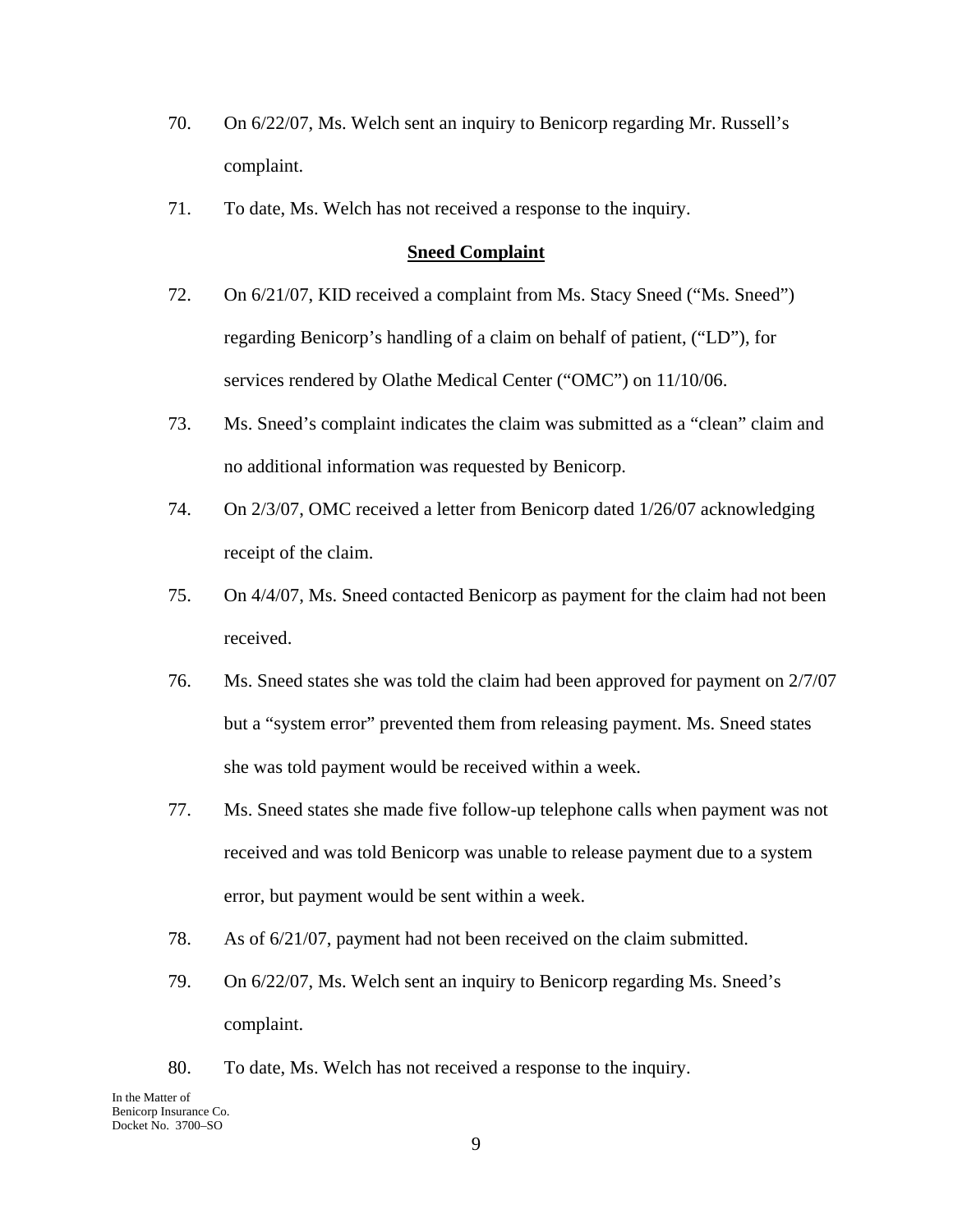- 70. On 6/22/07, Ms. Welch sent an inquiry to Benicorp regarding Mr. Russell's complaint.
- 71. To date, Ms. Welch has not received a response to the inquiry.

#### **Sneed Complaint**

- 72. On 6/21/07, KID received a complaint from Ms. Stacy Sneed ("Ms. Sneed") regarding Benicorp's handling of a claim on behalf of patient, ("LD"), for services rendered by Olathe Medical Center ("OMC") on 11/10/06.
- 73. Ms. Sneed's complaint indicates the claim was submitted as a "clean" claim and no additional information was requested by Benicorp.
- 74. On 2/3/07, OMC received a letter from Benicorp dated 1/26/07 acknowledging receipt of the claim.
- 75. On 4/4/07, Ms. Sneed contacted Benicorp as payment for the claim had not been received.
- 76. Ms. Sneed states she was told the claim had been approved for payment on 2/7/07 but a "system error" prevented them from releasing payment. Ms. Sneed states she was told payment would be received within a week.
- 77. Ms. Sneed states she made five follow-up telephone calls when payment was not received and was told Benicorp was unable to release payment due to a system error, but payment would be sent within a week.
- 78. As of 6/21/07, payment had not been received on the claim submitted.
- 79. On 6/22/07, Ms. Welch sent an inquiry to Benicorp regarding Ms. Sneed's complaint.
- 80. To date, Ms. Welch has not received a response to the inquiry.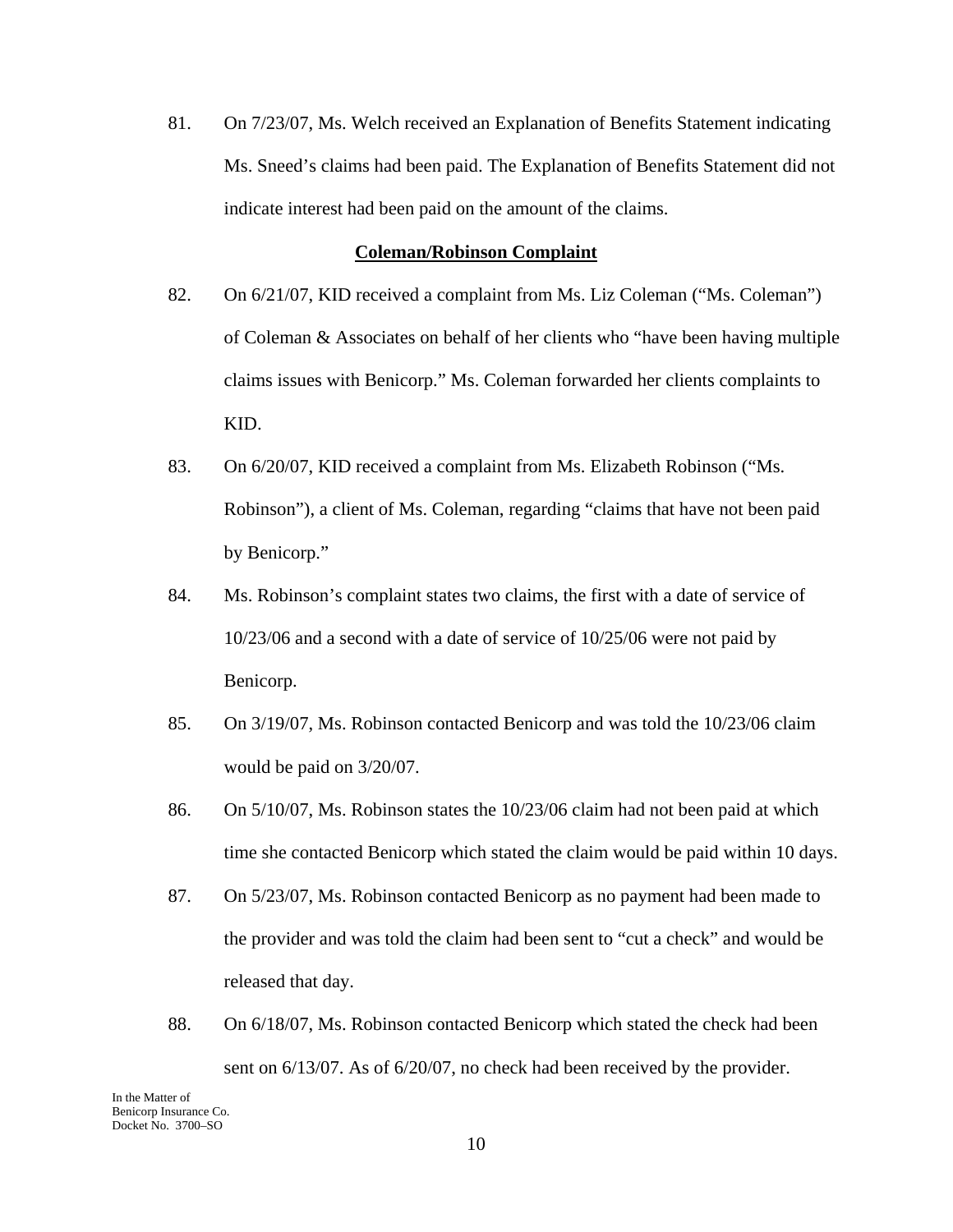81. On 7/23/07, Ms. Welch received an Explanation of Benefits Statement indicating Ms. Sneed's claims had been paid. The Explanation of Benefits Statement did not indicate interest had been paid on the amount of the claims.

#### **Coleman/Robinson Complaint**

- 82. On 6/21/07, KID received a complaint from Ms. Liz Coleman ("Ms. Coleman") of Coleman & Associates on behalf of her clients who "have been having multiple claims issues with Benicorp." Ms. Coleman forwarded her clients complaints to KID.
- 83. On 6/20/07, KID received a complaint from Ms. Elizabeth Robinson ("Ms. Robinson"), a client of Ms. Coleman, regarding "claims that have not been paid by Benicorp."
- 84. Ms. Robinson's complaint states two claims, the first with a date of service of 10/23/06 and a second with a date of service of 10/25/06 were not paid by Benicorp.
- 85. On 3/19/07, Ms. Robinson contacted Benicorp and was told the 10/23/06 claim would be paid on 3/20/07.
- 86. On 5/10/07, Ms. Robinson states the 10/23/06 claim had not been paid at which time she contacted Benicorp which stated the claim would be paid within 10 days.
- 87. On 5/23/07, Ms. Robinson contacted Benicorp as no payment had been made to the provider and was told the claim had been sent to "cut a check" and would be released that day.
- 88. On 6/18/07, Ms. Robinson contacted Benicorp which stated the check had been sent on 6/13/07. As of 6/20/07, no check had been received by the provider.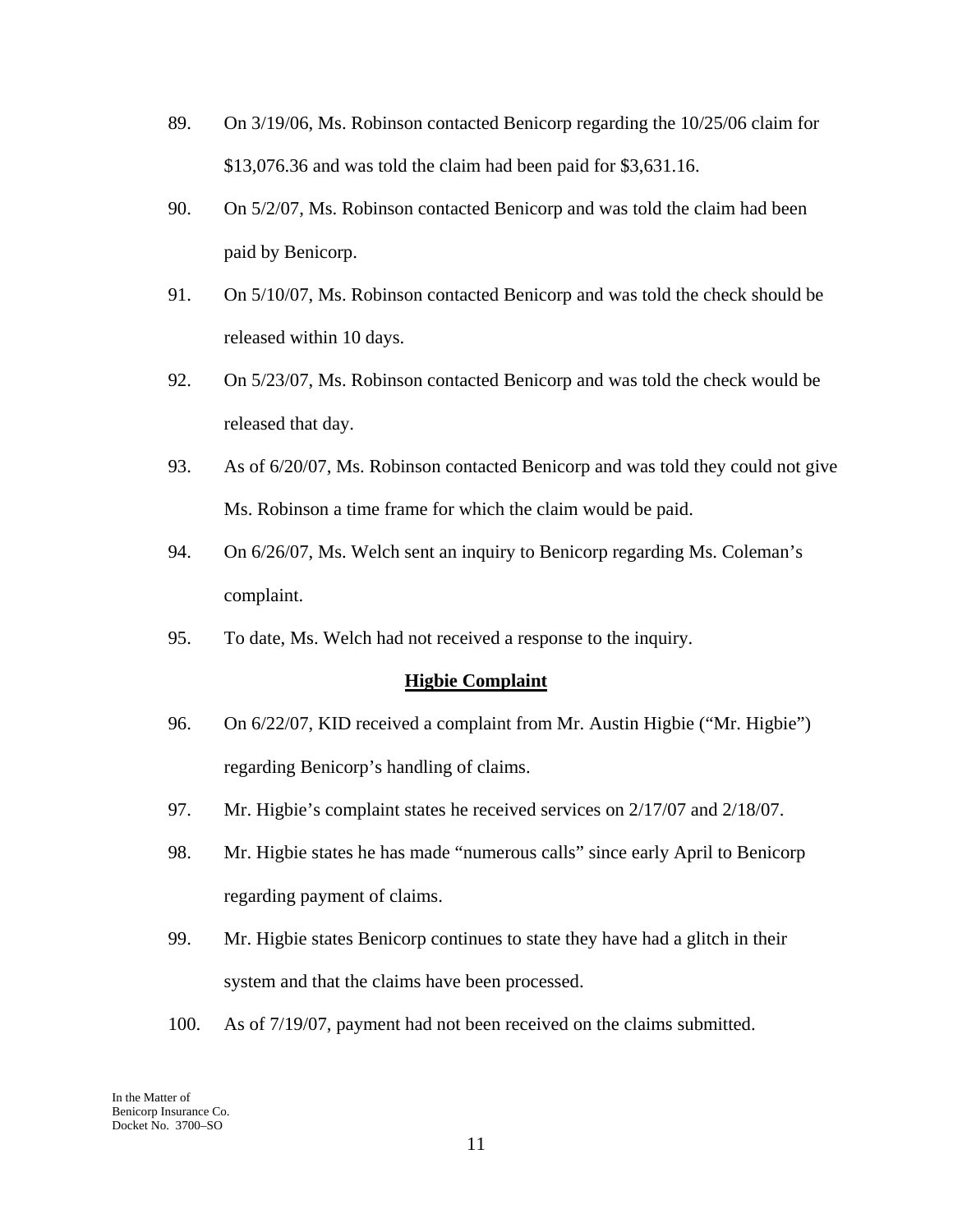- 89. On 3/19/06, Ms. Robinson contacted Benicorp regarding the 10/25/06 claim for \$13,076.36 and was told the claim had been paid for \$3,631.16.
- 90. On 5/2/07, Ms. Robinson contacted Benicorp and was told the claim had been paid by Benicorp.
- 91. On 5/10/07, Ms. Robinson contacted Benicorp and was told the check should be released within 10 days.
- 92. On 5/23/07, Ms. Robinson contacted Benicorp and was told the check would be released that day.
- 93. As of 6/20/07, Ms. Robinson contacted Benicorp and was told they could not give Ms. Robinson a time frame for which the claim would be paid.
- 94. On 6/26/07, Ms. Welch sent an inquiry to Benicorp regarding Ms. Coleman's complaint.
- 95. To date, Ms. Welch had not received a response to the inquiry.

### **Higbie Complaint**

- 96. On 6/22/07, KID received a complaint from Mr. Austin Higbie ("Mr. Higbie") regarding Benicorp's handling of claims.
- 97. Mr. Higbie's complaint states he received services on 2/17/07 and 2/18/07.
- 98. Mr. Higbie states he has made "numerous calls" since early April to Benicorp regarding payment of claims.
- 99. Mr. Higbie states Benicorp continues to state they have had a glitch in their system and that the claims have been processed.
- 100. As of 7/19/07, payment had not been received on the claims submitted.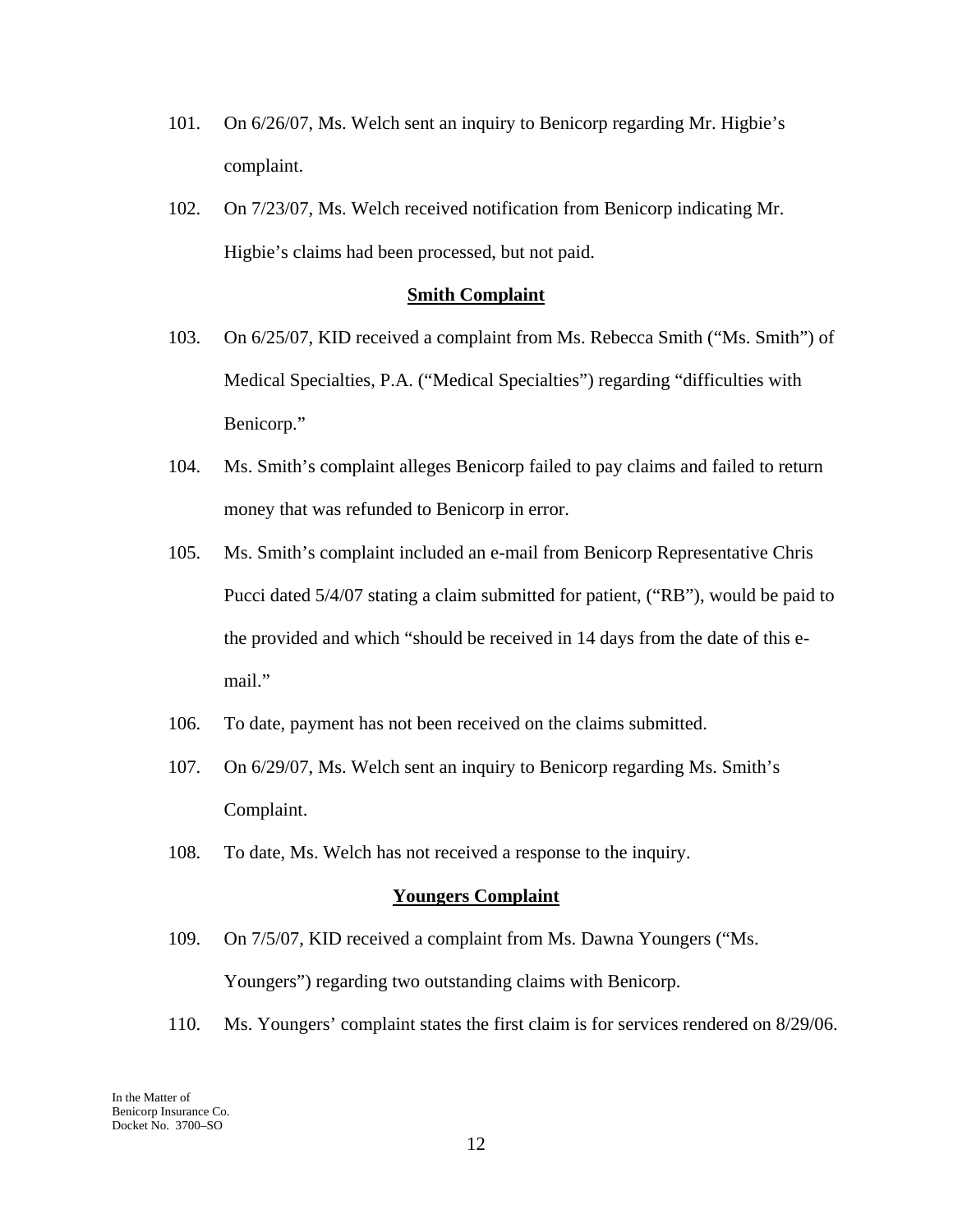- 101. On 6/26/07, Ms. Welch sent an inquiry to Benicorp regarding Mr. Higbie's complaint.
- 102. On 7/23/07, Ms. Welch received notification from Benicorp indicating Mr. Higbie's claims had been processed, but not paid.

#### **Smith Complaint**

- 103. On 6/25/07, KID received a complaint from Ms. Rebecca Smith ("Ms. Smith") of Medical Specialties, P.A. ("Medical Specialties") regarding "difficulties with Benicorp."
- 104. Ms. Smith's complaint alleges Benicorp failed to pay claims and failed to return money that was refunded to Benicorp in error.
- 105. Ms. Smith's complaint included an e-mail from Benicorp Representative Chris Pucci dated 5/4/07 stating a claim submitted for patient, ("RB"), would be paid to the provided and which "should be received in 14 days from the date of this email."
- 106. To date, payment has not been received on the claims submitted.
- 107. On 6/29/07, Ms. Welch sent an inquiry to Benicorp regarding Ms. Smith's Complaint.
- 108. To date, Ms. Welch has not received a response to the inquiry.

#### **Youngers Complaint**

- 109. On 7/5/07, KID received a complaint from Ms. Dawna Youngers ("Ms. Youngers") regarding two outstanding claims with Benicorp.
- 110. Ms. Youngers' complaint states the first claim is for services rendered on 8/29/06.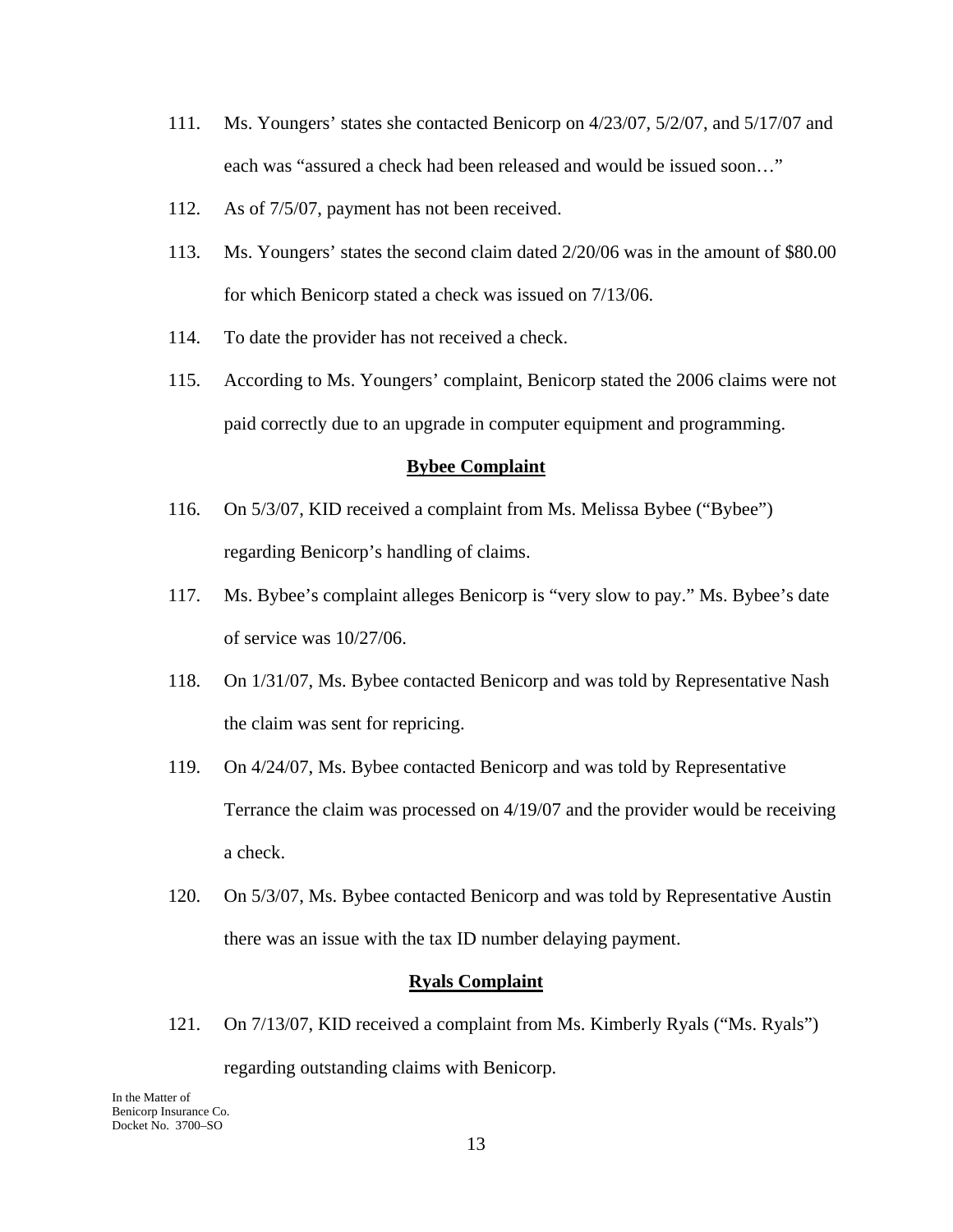- 111. Ms. Youngers' states she contacted Benicorp on 4/23/07, 5/2/07, and 5/17/07 and each was "assured a check had been released and would be issued soon…"
- 112. As of 7/5/07, payment has not been received.
- 113. Ms. Youngers' states the second claim dated 2/20/06 was in the amount of \$80.00 for which Benicorp stated a check was issued on 7/13/06.
- 114. To date the provider has not received a check.
- 115. According to Ms. Youngers' complaint, Benicorp stated the 2006 claims were not paid correctly due to an upgrade in computer equipment and programming.

#### **Bybee Complaint**

- 116. On 5/3/07, KID received a complaint from Ms. Melissa Bybee ("Bybee") regarding Benicorp's handling of claims.
- 117. Ms. Bybee's complaint alleges Benicorp is "very slow to pay." Ms. Bybee's date of service was 10/27/06.
- 118. On 1/31/07, Ms. Bybee contacted Benicorp and was told by Representative Nash the claim was sent for repricing.
- 119. On 4/24/07, Ms. Bybee contacted Benicorp and was told by Representative Terrance the claim was processed on 4/19/07 and the provider would be receiving a check.
- 120. On 5/3/07, Ms. Bybee contacted Benicorp and was told by Representative Austin there was an issue with the tax ID number delaying payment.

#### **Ryals Complaint**

121. On 7/13/07, KID received a complaint from Ms. Kimberly Ryals ("Ms. Ryals")

regarding outstanding claims with Benicorp.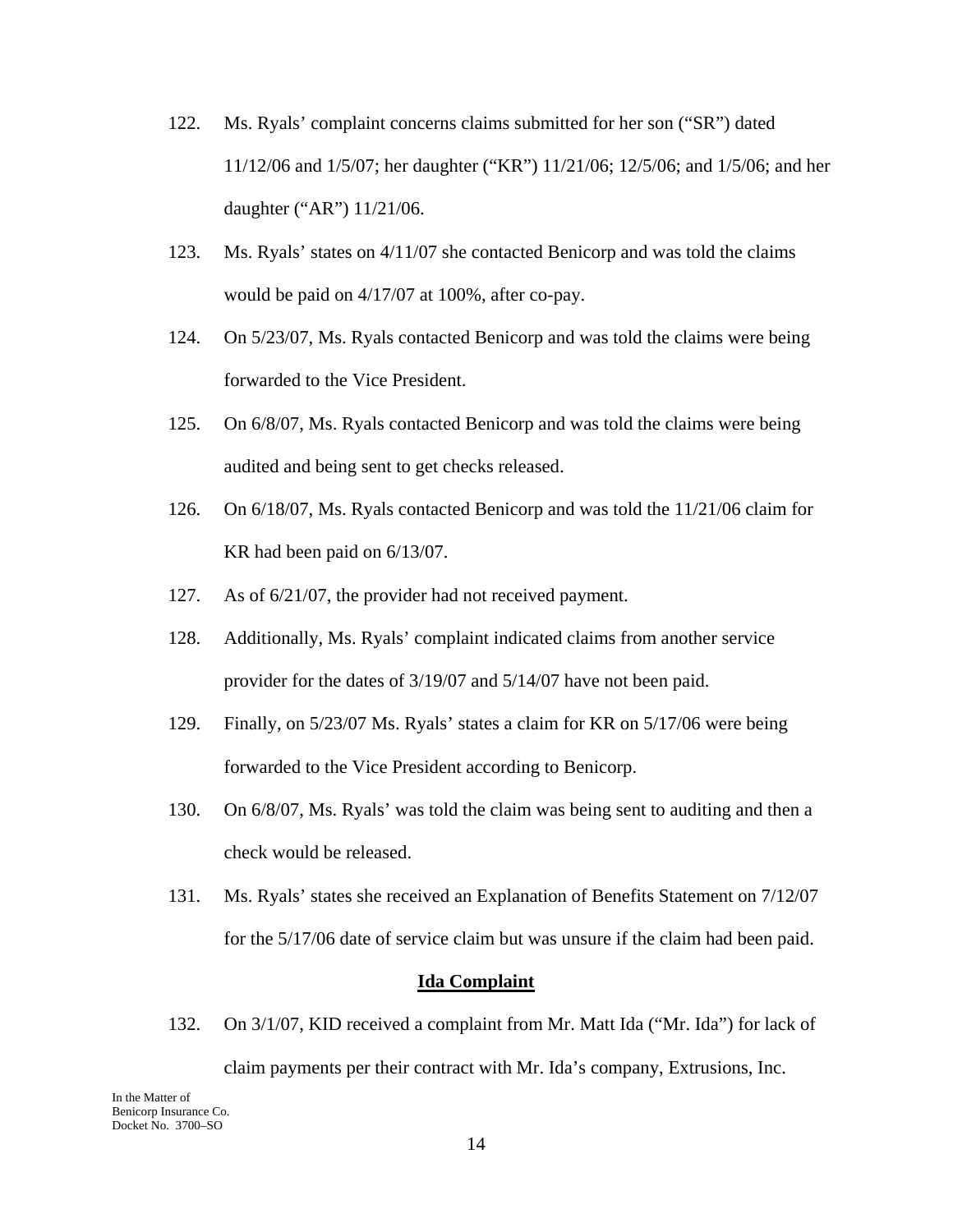- 122. Ms. Ryals' complaint concerns claims submitted for her son ("SR") dated 11/12/06 and 1/5/07; her daughter ("KR") 11/21/06; 12/5/06; and 1/5/06; and her daughter ("AR") 11/21/06.
- 123. Ms. Ryals' states on 4/11/07 she contacted Benicorp and was told the claims would be paid on 4/17/07 at 100%, after co-pay.
- 124. On 5/23/07, Ms. Ryals contacted Benicorp and was told the claims were being forwarded to the Vice President.
- 125. On 6/8/07, Ms. Ryals contacted Benicorp and was told the claims were being audited and being sent to get checks released.
- 126. On 6/18/07, Ms. Ryals contacted Benicorp and was told the 11/21/06 claim for KR had been paid on 6/13/07.
- 127. As of 6/21/07, the provider had not received payment.
- 128. Additionally, Ms. Ryals' complaint indicated claims from another service provider for the dates of 3/19/07 and 5/14/07 have not been paid.
- 129. Finally, on 5/23/07 Ms. Ryals' states a claim for KR on 5/17/06 were being forwarded to the Vice President according to Benicorp.
- 130. On 6/8/07, Ms. Ryals' was told the claim was being sent to auditing and then a check would be released.
- 131. Ms. Ryals' states she received an Explanation of Benefits Statement on 7/12/07 for the 5/17/06 date of service claim but was unsure if the claim had been paid.

#### **Ida Complaint**

132. On 3/1/07, KID received a complaint from Mr. Matt Ida ("Mr. Ida") for lack of claim payments per their contract with Mr. Ida's company, Extrusions, Inc.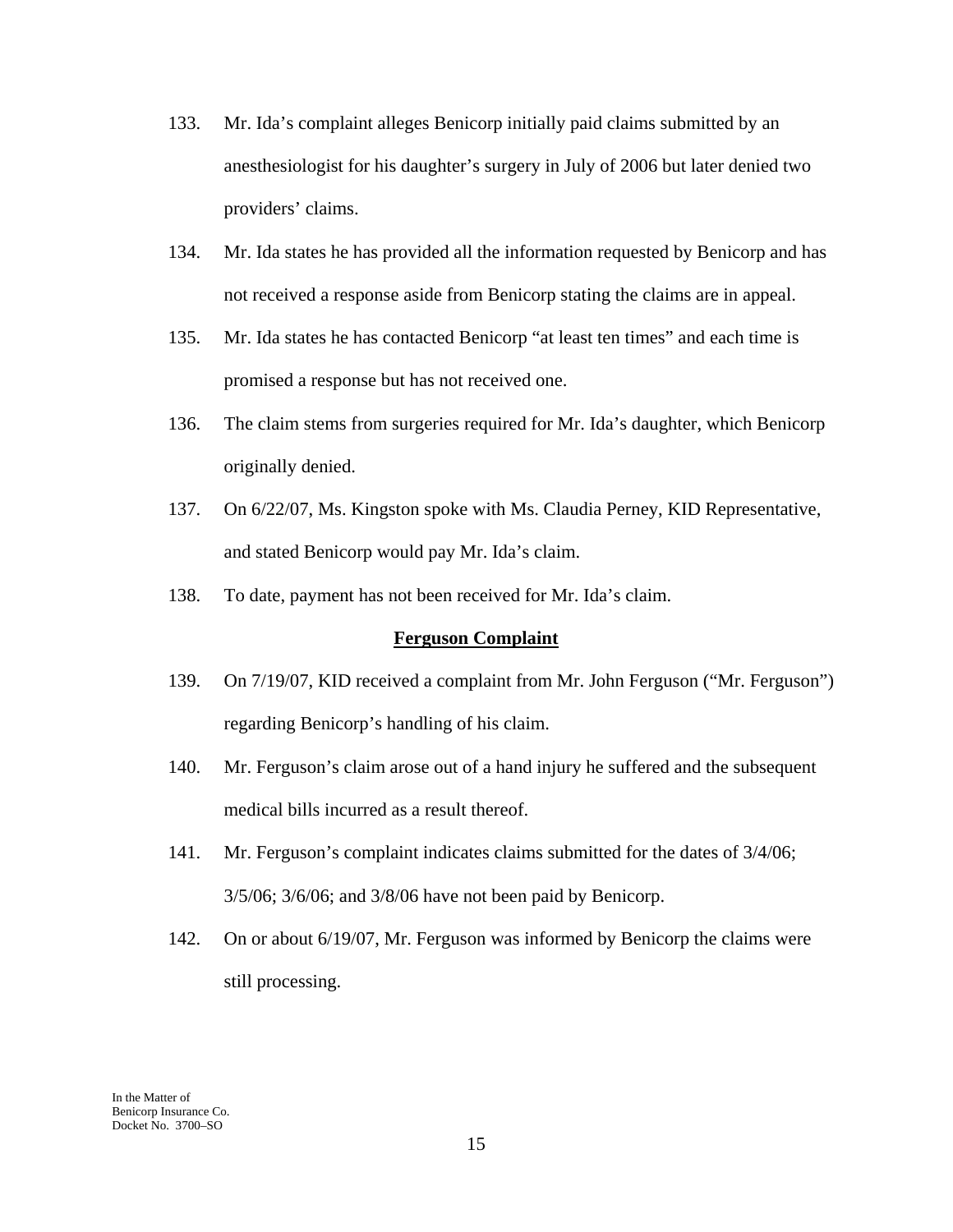- 133. Mr. Ida's complaint alleges Benicorp initially paid claims submitted by an anesthesiologist for his daughter's surgery in July of 2006 but later denied two providers' claims.
- 134. Mr. Ida states he has provided all the information requested by Benicorp and has not received a response aside from Benicorp stating the claims are in appeal.
- 135. Mr. Ida states he has contacted Benicorp "at least ten times" and each time is promised a response but has not received one.
- 136. The claim stems from surgeries required for Mr. Ida's daughter, which Benicorp originally denied.
- 137. On 6/22/07, Ms. Kingston spoke with Ms. Claudia Perney, KID Representative, and stated Benicorp would pay Mr. Ida's claim.
- 138. To date, payment has not been received for Mr. Ida's claim.

### **Ferguson Complaint**

- 139. On 7/19/07, KID received a complaint from Mr. John Ferguson ("Mr. Ferguson") regarding Benicorp's handling of his claim.
- 140. Mr. Ferguson's claim arose out of a hand injury he suffered and the subsequent medical bills incurred as a result thereof.
- 141. Mr. Ferguson's complaint indicates claims submitted for the dates of 3/4/06; 3/5/06; 3/6/06; and 3/8/06 have not been paid by Benicorp.
- 142. On or about 6/19/07, Mr. Ferguson was informed by Benicorp the claims were still processing.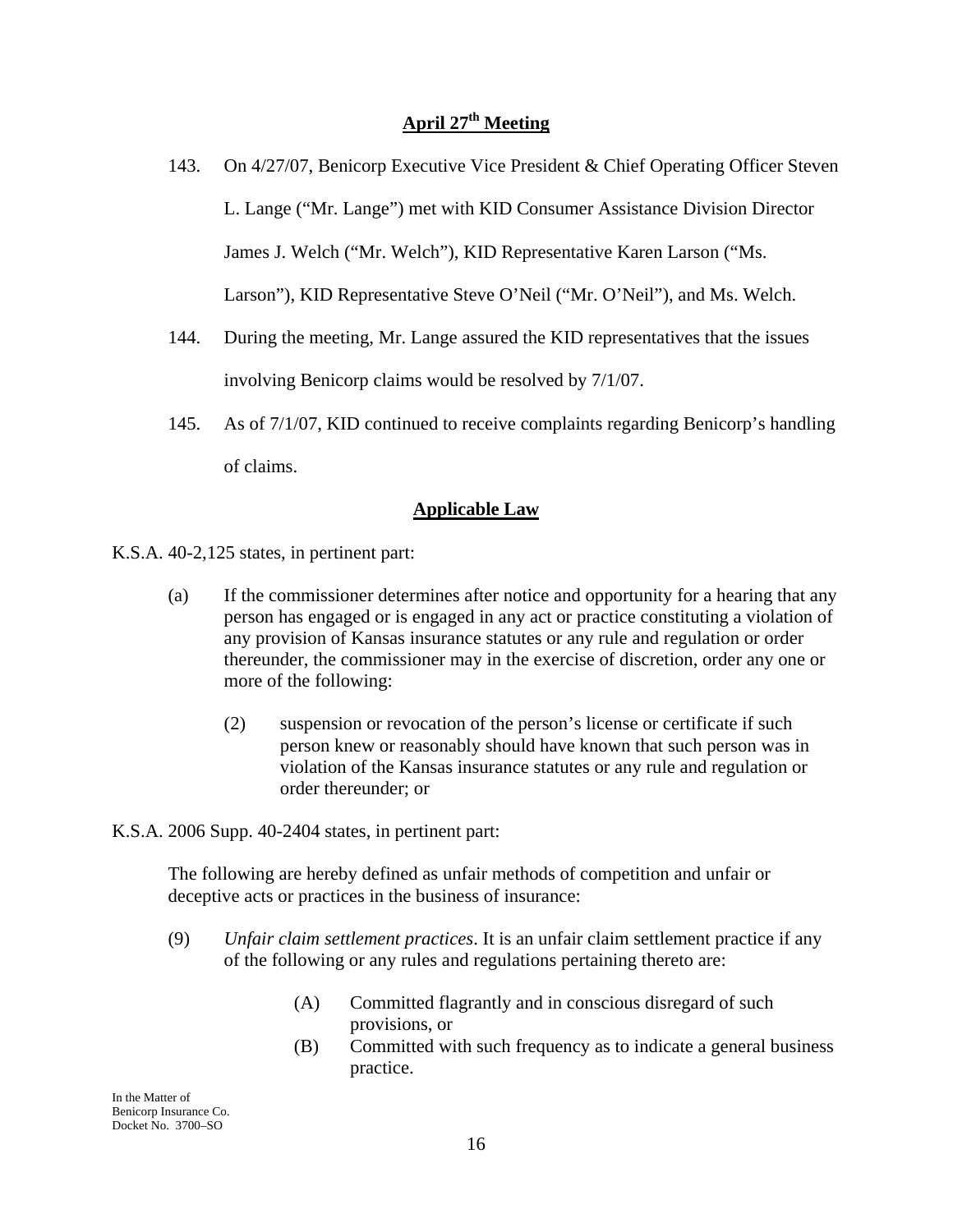# **April 27th Meeting**

- 143. On 4/27/07, Benicorp Executive Vice President & Chief Operating Officer Steven L. Lange ("Mr. Lange") met with KID Consumer Assistance Division Director James J. Welch ("Mr. Welch"), KID Representative Karen Larson ("Ms. Larson"), KID Representative Steve O'Neil ("Mr. O'Neil"), and Ms. Welch.
- 144. During the meeting, Mr. Lange assured the KID representatives that the issues involving Benicorp claims would be resolved by 7/1/07.
- 145. As of 7/1/07, KID continued to receive complaints regarding Benicorp's handling of claims.

## **Applicable Law**

K.S.A. 40-2,125 states, in pertinent part:

- (a) If the commissioner determines after notice and opportunity for a hearing that any person has engaged or is engaged in any act or practice constituting a violation of any provision of Kansas insurance statutes or any rule and regulation or order thereunder, the commissioner may in the exercise of discretion, order any one or more of the following:
	- (2) suspension or revocation of the person's license or certificate if such person knew or reasonably should have known that such person was in violation of the Kansas insurance statutes or any rule and regulation or order thereunder; or

### K.S.A. 2006 Supp. 40-2404 states, in pertinent part:

The following are hereby defined as unfair methods of competition and unfair or deceptive acts or practices in the business of insurance:

- (9) *Unfair claim settlement practices*. It is an unfair claim settlement practice if any of the following or any rules and regulations pertaining thereto are:
	- (A) Committed flagrantly and in conscious disregard of such provisions, or
	- (B) Committed with such frequency as to indicate a general business practice.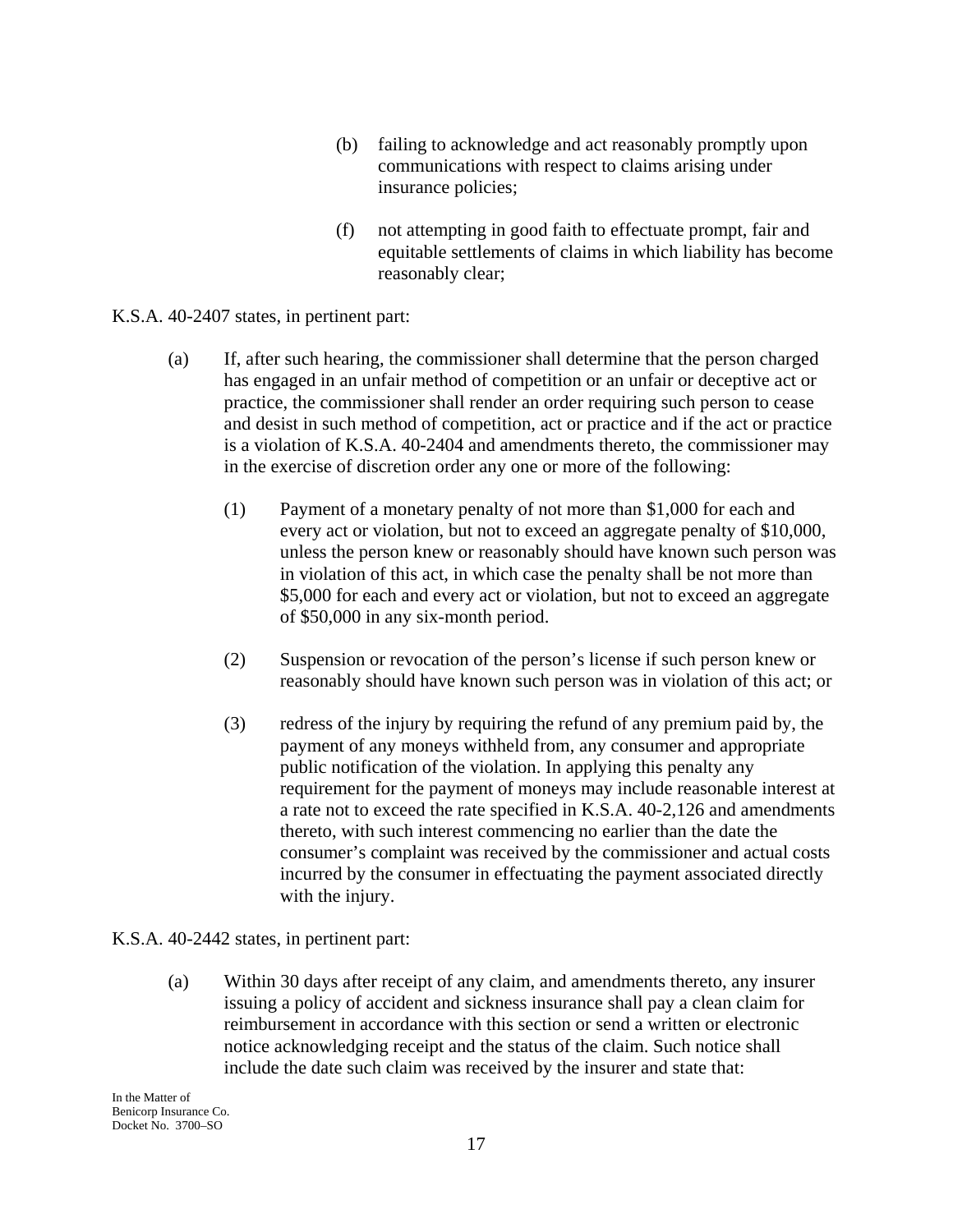- (b) failing to acknowledge and act reasonably promptly upon communications with respect to claims arising under insurance policies;
- (f) not attempting in good faith to effectuate prompt, fair and equitable settlements of claims in which liability has become reasonably clear;

### K.S.A. 40-2407 states, in pertinent part:

- (a) If, after such hearing, the commissioner shall determine that the person charged has engaged in an unfair method of competition or an unfair or deceptive act or practice, the commissioner shall render an order requiring such person to cease and desist in such method of competition, act or practice and if the act or practice is a violation of K.S.A. 40-2404 and amendments thereto, the commissioner may in the exercise of discretion order any one or more of the following:
	- (1) Payment of a monetary penalty of not more than \$1,000 for each and every act or violation, but not to exceed an aggregate penalty of \$10,000, unless the person knew or reasonably should have known such person was in violation of this act, in which case the penalty shall be not more than \$5,000 for each and every act or violation, but not to exceed an aggregate of \$50,000 in any six-month period.
	- (2) Suspension or revocation of the person's license if such person knew or reasonably should have known such person was in violation of this act; or
	- (3) redress of the injury by requiring the refund of any premium paid by, the payment of any moneys withheld from, any consumer and appropriate public notification of the violation. In applying this penalty any requirement for the payment of moneys may include reasonable interest at a rate not to exceed the rate specified in K.S.A. 40-2,126 and amendments thereto, with such interest commencing no earlier than the date the consumer's complaint was received by the commissioner and actual costs incurred by the consumer in effectuating the payment associated directly with the injury.

### K.S.A. 40-2442 states, in pertinent part:

(a) Within 30 days after receipt of any claim, and amendments thereto, any insurer issuing a policy of accident and sickness insurance shall pay a clean claim for reimbursement in accordance with this section or send a written or electronic notice acknowledging receipt and the status of the claim. Such notice shall include the date such claim was received by the insurer and state that: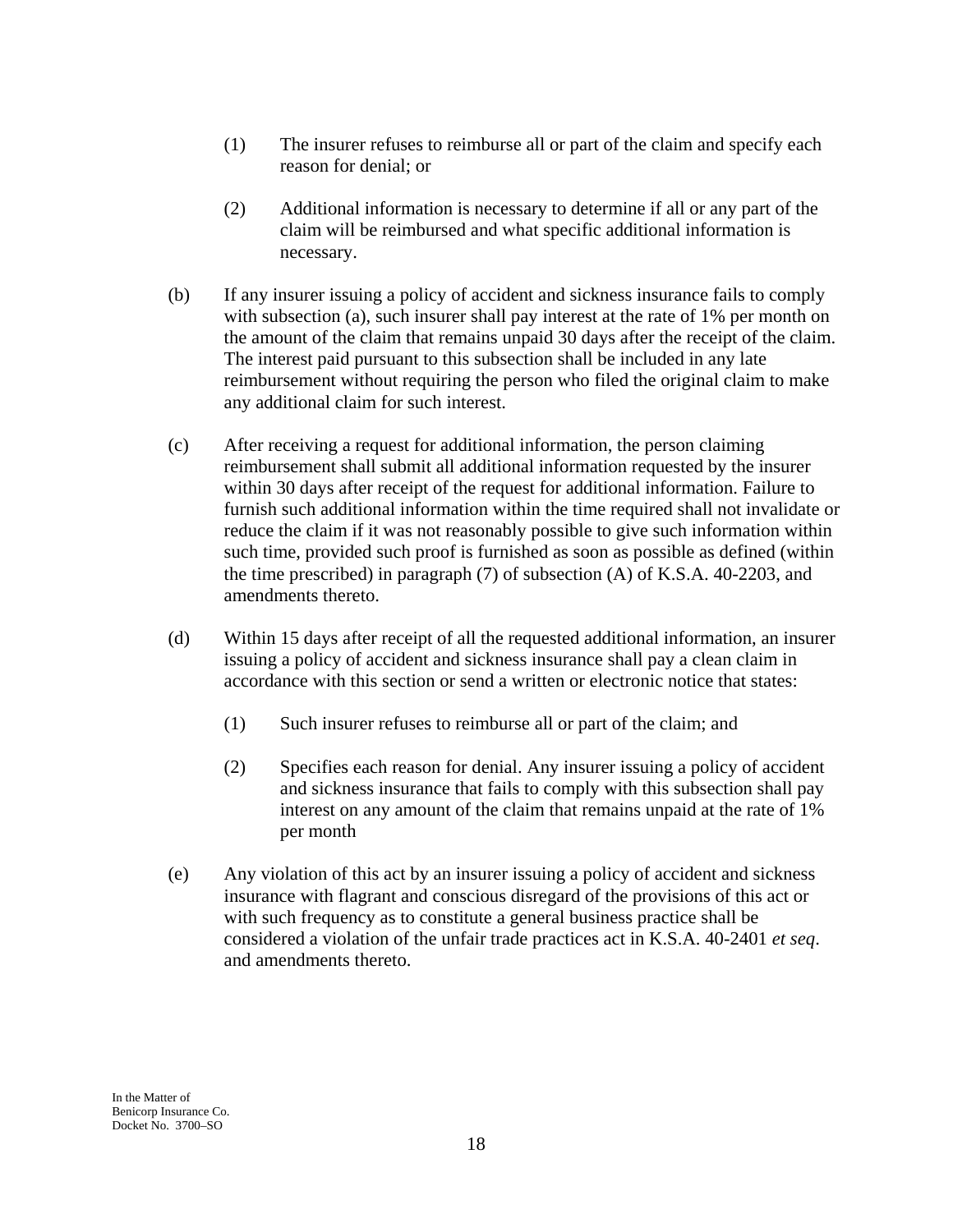- (1) The insurer refuses to reimburse all or part of the claim and specify each reason for denial; or
- (2) Additional information is necessary to determine if all or any part of the claim will be reimbursed and what specific additional information is necessary.
- (b) If any insurer issuing a policy of accident and sickness insurance fails to comply with subsection (a), such insurer shall pay interest at the rate of 1% per month on the amount of the claim that remains unpaid 30 days after the receipt of the claim. The interest paid pursuant to this subsection shall be included in any late reimbursement without requiring the person who filed the original claim to make any additional claim for such interest.
- (c) After receiving a request for additional information, the person claiming reimbursement shall submit all additional information requested by the insurer within 30 days after receipt of the request for additional information. Failure to furnish such additional information within the time required shall not invalidate or reduce the claim if it was not reasonably possible to give such information within such time, provided such proof is furnished as soon as possible as defined (within the time prescribed) in paragraph (7) of subsection (A) of K.S.A. 40-2203, and amendments thereto.
- (d) Within 15 days after receipt of all the requested additional information, an insurer issuing a policy of accident and sickness insurance shall pay a clean claim in accordance with this section or send a written or electronic notice that states:
	- (1) Such insurer refuses to reimburse all or part of the claim; and
	- (2) Specifies each reason for denial. Any insurer issuing a policy of accident and sickness insurance that fails to comply with this subsection shall pay interest on any amount of the claim that remains unpaid at the rate of 1% per month
- (e) Any violation of this act by an insurer issuing a policy of accident and sickness insurance with flagrant and conscious disregard of the provisions of this act or with such frequency as to constitute a general business practice shall be considered a violation of the unfair trade practices act in K.S.A. 40-2401 *et seq*. and amendments thereto.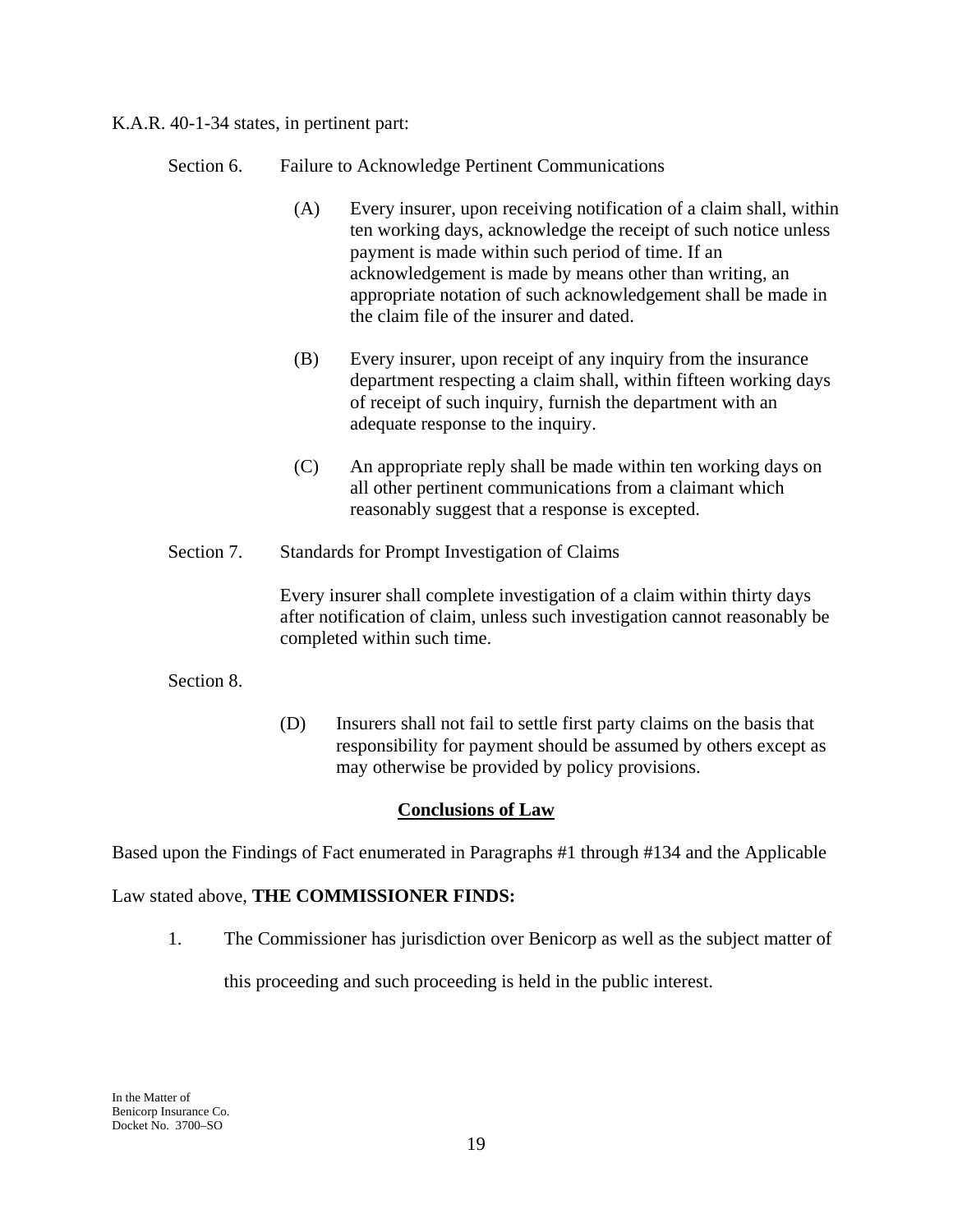K.A.R. 40-1-34 states, in pertinent part:

- Section 6. Failure to Acknowledge Pertinent Communications
	- (A) Every insurer, upon receiving notification of a claim shall, within ten working days, acknowledge the receipt of such notice unless payment is made within such period of time. If an acknowledgement is made by means other than writing, an appropriate notation of such acknowledgement shall be made in the claim file of the insurer and dated.
	- (B) Every insurer, upon receipt of any inquiry from the insurance department respecting a claim shall, within fifteen working days of receipt of such inquiry, furnish the department with an adequate response to the inquiry.
	- (C) An appropriate reply shall be made within ten working days on all other pertinent communications from a claimant which reasonably suggest that a response is excepted.
- Section 7. Standards for Prompt Investigation of Claims

Every insurer shall complete investigation of a claim within thirty days after notification of claim, unless such investigation cannot reasonably be completed within such time.

### Section 8.

(D) Insurers shall not fail to settle first party claims on the basis that responsibility for payment should be assumed by others except as may otherwise be provided by policy provisions.

### **Conclusions of Law**

Based upon the Findings of Fact enumerated in Paragraphs #1 through #134 and the Applicable

### Law stated above, **THE COMMISSIONER FINDS:**

1. The Commissioner has jurisdiction over Benicorp as well as the subject matter of

this proceeding and such proceeding is held in the public interest.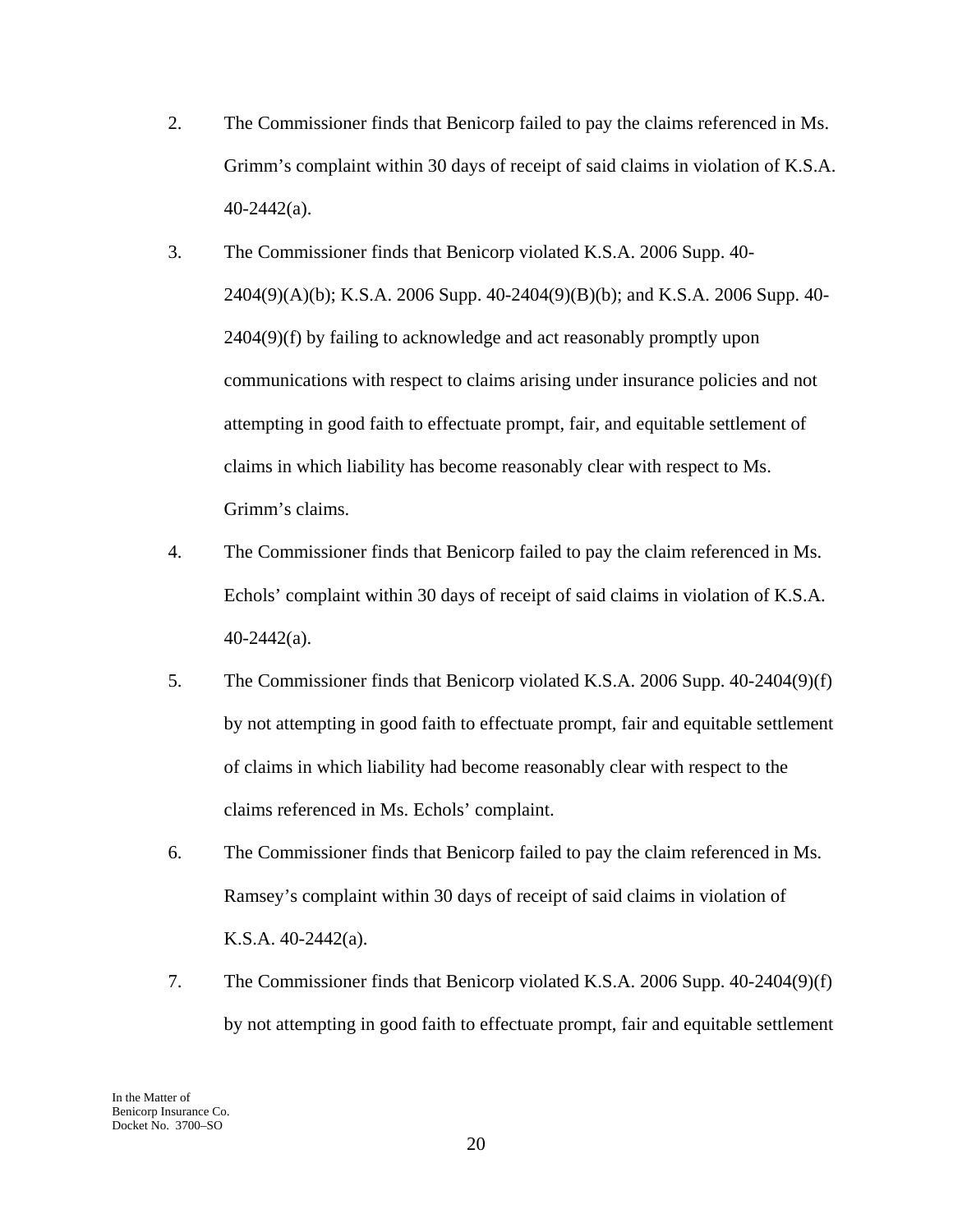- 2. The Commissioner finds that Benicorp failed to pay the claims referenced in Ms. Grimm's complaint within 30 days of receipt of said claims in violation of K.S.A. 40-2442(a).
- 3. The Commissioner finds that Benicorp violated K.S.A. 2006 Supp. 40- 2404(9)(A)(b); K.S.A. 2006 Supp. 40-2404(9)(B)(b); and K.S.A. 2006 Supp. 40- 2404(9)(f) by failing to acknowledge and act reasonably promptly upon communications with respect to claims arising under insurance policies and not attempting in good faith to effectuate prompt, fair, and equitable settlement of claims in which liability has become reasonably clear with respect to Ms. Grimm's claims.
- 4. The Commissioner finds that Benicorp failed to pay the claim referenced in Ms. Echols' complaint within 30 days of receipt of said claims in violation of K.S.A. 40-2442(a).
- 5. The Commissioner finds that Benicorp violated K.S.A. 2006 Supp. 40-2404(9)(f) by not attempting in good faith to effectuate prompt, fair and equitable settlement of claims in which liability had become reasonably clear with respect to the claims referenced in Ms. Echols' complaint.
- 6. The Commissioner finds that Benicorp failed to pay the claim referenced in Ms. Ramsey's complaint within 30 days of receipt of said claims in violation of K.S.A. 40-2442(a).
- 7. The Commissioner finds that Benicorp violated K.S.A. 2006 Supp. 40-2404(9)(f) by not attempting in good faith to effectuate prompt, fair and equitable settlement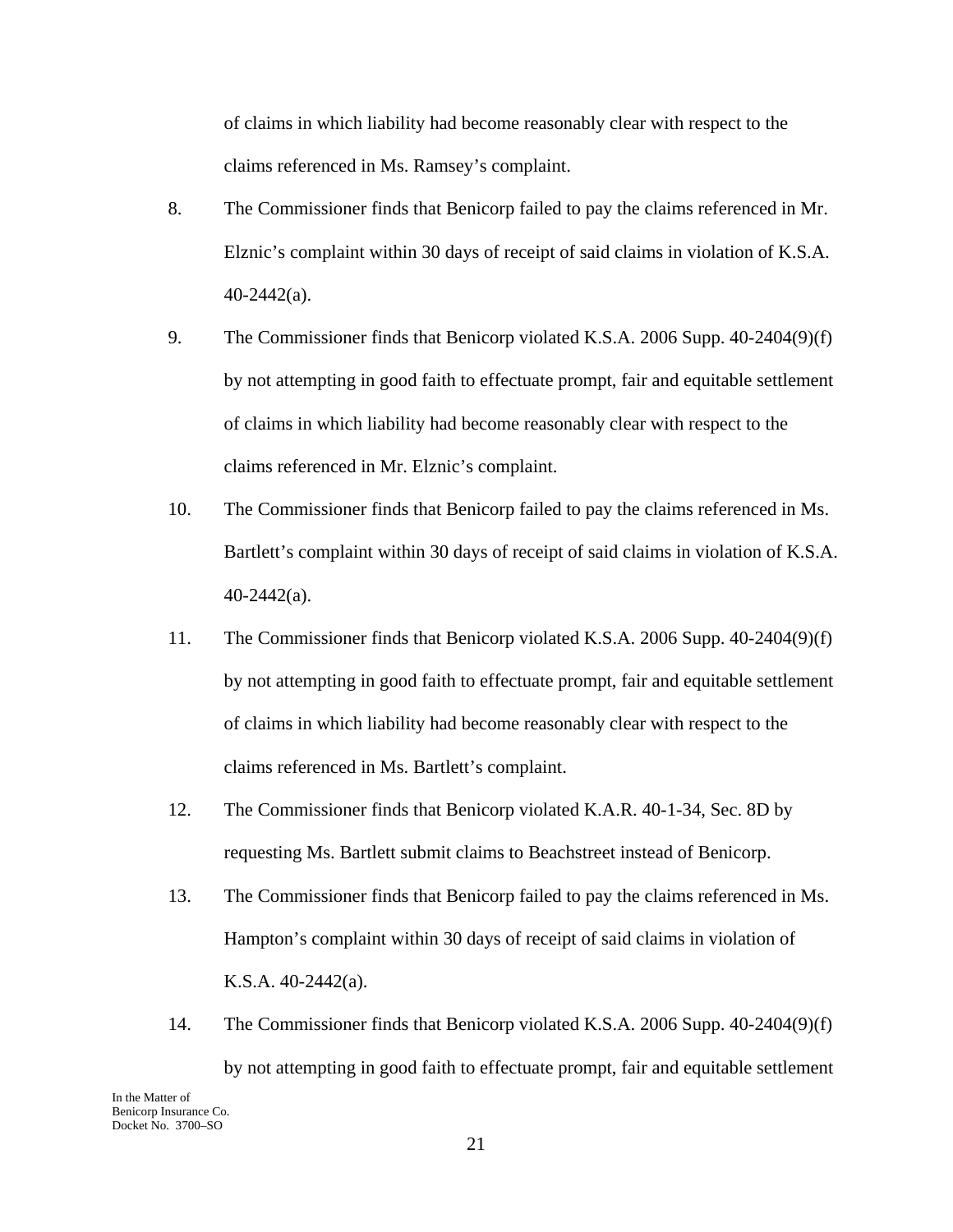of claims in which liability had become reasonably clear with respect to the claims referenced in Ms. Ramsey's complaint.

- 8. The Commissioner finds that Benicorp failed to pay the claims referenced in Mr. Elznic's complaint within 30 days of receipt of said claims in violation of K.S.A. 40-2442(a).
- 9. The Commissioner finds that Benicorp violated K.S.A. 2006 Supp. 40-2404(9)(f) by not attempting in good faith to effectuate prompt, fair and equitable settlement of claims in which liability had become reasonably clear with respect to the claims referenced in Mr. Elznic's complaint.
- 10. The Commissioner finds that Benicorp failed to pay the claims referenced in Ms. Bartlett's complaint within 30 days of receipt of said claims in violation of K.S.A. 40-2442(a).
- 11. The Commissioner finds that Benicorp violated K.S.A. 2006 Supp. 40-2404(9)(f) by not attempting in good faith to effectuate prompt, fair and equitable settlement of claims in which liability had become reasonably clear with respect to the claims referenced in Ms. Bartlett's complaint.
- 12. The Commissioner finds that Benicorp violated K.A.R. 40-1-34, Sec. 8D by requesting Ms. Bartlett submit claims to Beachstreet instead of Benicorp.
- 13. The Commissioner finds that Benicorp failed to pay the claims referenced in Ms. Hampton's complaint within 30 days of receipt of said claims in violation of K.S.A. 40-2442(a).
- 14. The Commissioner finds that Benicorp violated K.S.A. 2006 Supp. 40-2404(9)(f) by not attempting in good faith to effectuate prompt, fair and equitable settlement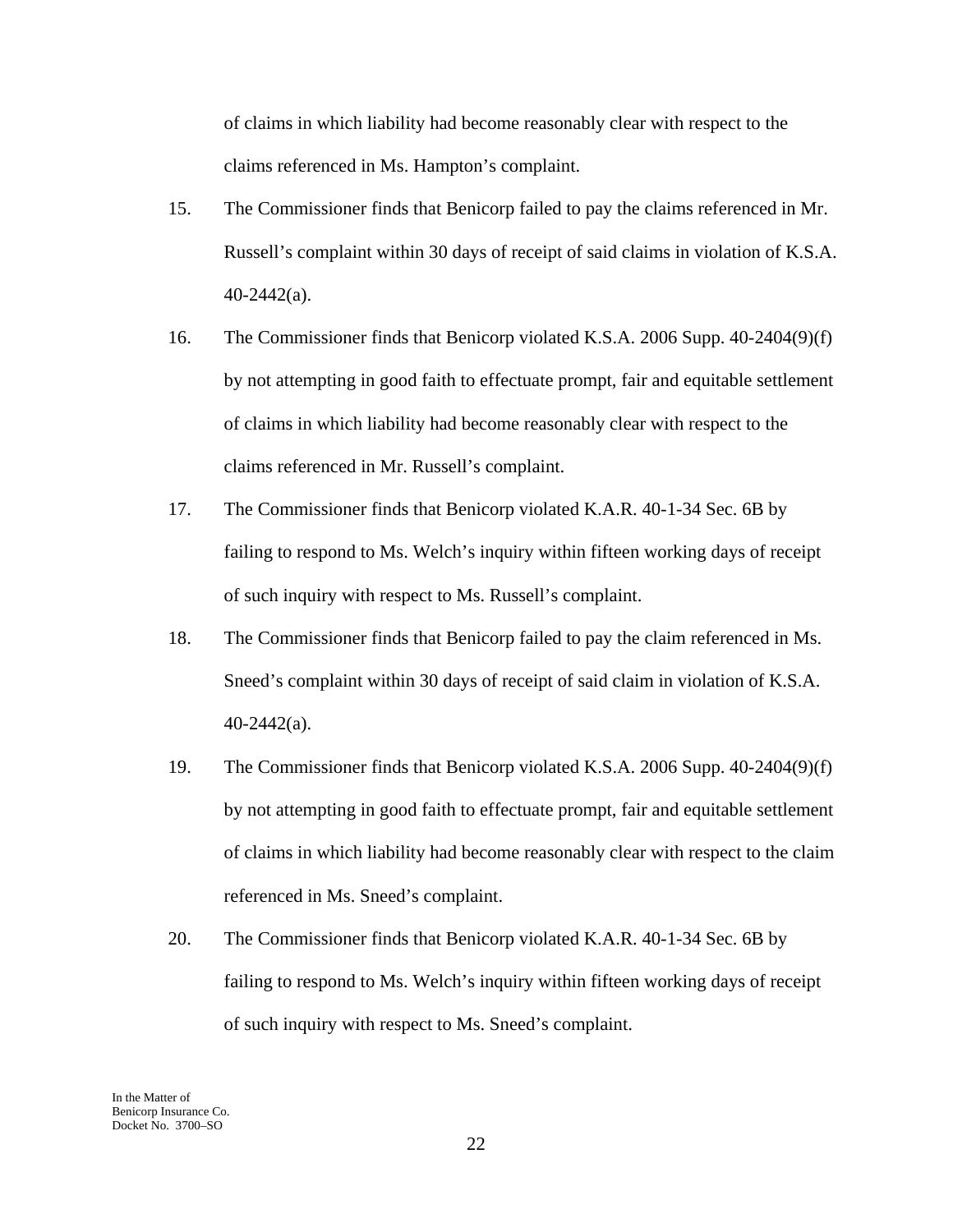of claims in which liability had become reasonably clear with respect to the claims referenced in Ms. Hampton's complaint.

- 15. The Commissioner finds that Benicorp failed to pay the claims referenced in Mr. Russell's complaint within 30 days of receipt of said claims in violation of K.S.A. 40-2442(a).
- 16. The Commissioner finds that Benicorp violated K.S.A. 2006 Supp. 40-2404(9)(f) by not attempting in good faith to effectuate prompt, fair and equitable settlement of claims in which liability had become reasonably clear with respect to the claims referenced in Mr. Russell's complaint.
- 17. The Commissioner finds that Benicorp violated K.A.R. 40-1-34 Sec. 6B by failing to respond to Ms. Welch's inquiry within fifteen working days of receipt of such inquiry with respect to Ms. Russell's complaint.
- 18. The Commissioner finds that Benicorp failed to pay the claim referenced in Ms. Sneed's complaint within 30 days of receipt of said claim in violation of K.S.A. 40-2442(a).
- 19. The Commissioner finds that Benicorp violated K.S.A. 2006 Supp. 40-2404(9)(f) by not attempting in good faith to effectuate prompt, fair and equitable settlement of claims in which liability had become reasonably clear with respect to the claim referenced in Ms. Sneed's complaint.
- 20. The Commissioner finds that Benicorp violated K.A.R. 40-1-34 Sec. 6B by failing to respond to Ms. Welch's inquiry within fifteen working days of receipt of such inquiry with respect to Ms. Sneed's complaint.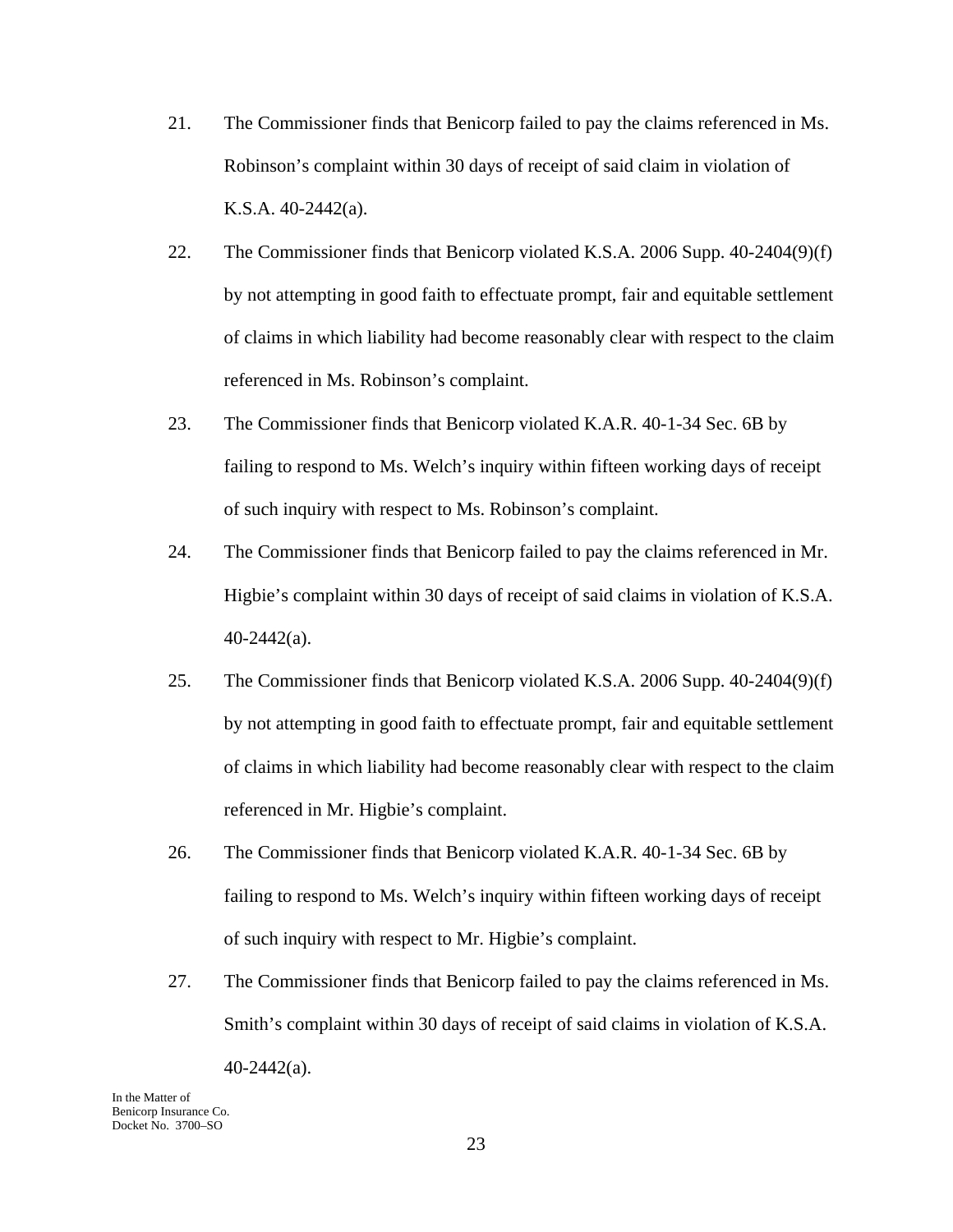- 21. The Commissioner finds that Benicorp failed to pay the claims referenced in Ms. Robinson's complaint within 30 days of receipt of said claim in violation of K.S.A. 40-2442(a).
- 22. The Commissioner finds that Benicorp violated K.S.A. 2006 Supp. 40-2404(9)(f) by not attempting in good faith to effectuate prompt, fair and equitable settlement of claims in which liability had become reasonably clear with respect to the claim referenced in Ms. Robinson's complaint.
- 23. The Commissioner finds that Benicorp violated K.A.R. 40-1-34 Sec. 6B by failing to respond to Ms. Welch's inquiry within fifteen working days of receipt of such inquiry with respect to Ms. Robinson's complaint.
- 24. The Commissioner finds that Benicorp failed to pay the claims referenced in Mr. Higbie's complaint within 30 days of receipt of said claims in violation of K.S.A. 40-2442(a).
- 25. The Commissioner finds that Benicorp violated K.S.A. 2006 Supp. 40-2404(9)(f) by not attempting in good faith to effectuate prompt, fair and equitable settlement of claims in which liability had become reasonably clear with respect to the claim referenced in Mr. Higbie's complaint.
- 26. The Commissioner finds that Benicorp violated K.A.R. 40-1-34 Sec. 6B by failing to respond to Ms. Welch's inquiry within fifteen working days of receipt of such inquiry with respect to Mr. Higbie's complaint.
- 27. The Commissioner finds that Benicorp failed to pay the claims referenced in Ms. Smith's complaint within 30 days of receipt of said claims in violation of K.S.A.

In the Matter of Benicorp Insurance Co. Docket No. 3700–SO

 $40 - 2442$ (a).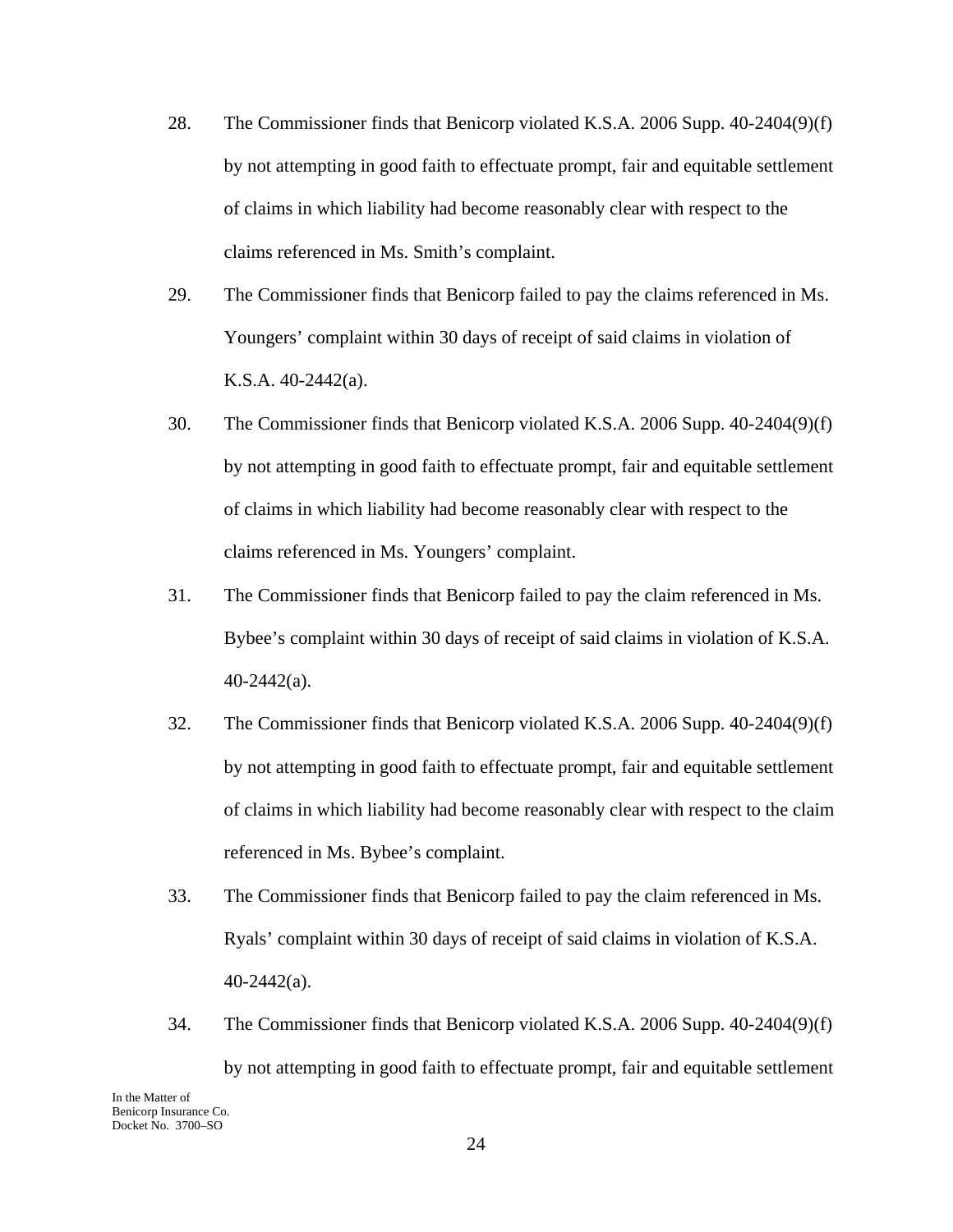- 28. The Commissioner finds that Benicorp violated K.S.A. 2006 Supp. 40-2404(9)(f) by not attempting in good faith to effectuate prompt, fair and equitable settlement of claims in which liability had become reasonably clear with respect to the claims referenced in Ms. Smith's complaint.
- 29. The Commissioner finds that Benicorp failed to pay the claims referenced in Ms. Youngers' complaint within 30 days of receipt of said claims in violation of K.S.A. 40-2442(a).
- 30. The Commissioner finds that Benicorp violated K.S.A. 2006 Supp. 40-2404(9)(f) by not attempting in good faith to effectuate prompt, fair and equitable settlement of claims in which liability had become reasonably clear with respect to the claims referenced in Ms. Youngers' complaint.
- 31. The Commissioner finds that Benicorp failed to pay the claim referenced in Ms. Bybee's complaint within 30 days of receipt of said claims in violation of K.S.A. 40-2442(a).
- 32. The Commissioner finds that Benicorp violated K.S.A. 2006 Supp. 40-2404(9)(f) by not attempting in good faith to effectuate prompt, fair and equitable settlement of claims in which liability had become reasonably clear with respect to the claim referenced in Ms. Bybee's complaint.
- 33. The Commissioner finds that Benicorp failed to pay the claim referenced in Ms. Ryals' complaint within 30 days of receipt of said claims in violation of K.S.A. 40-2442(a).
- 34. The Commissioner finds that Benicorp violated K.S.A. 2006 Supp. 40-2404(9)(f) by not attempting in good faith to effectuate prompt, fair and equitable settlement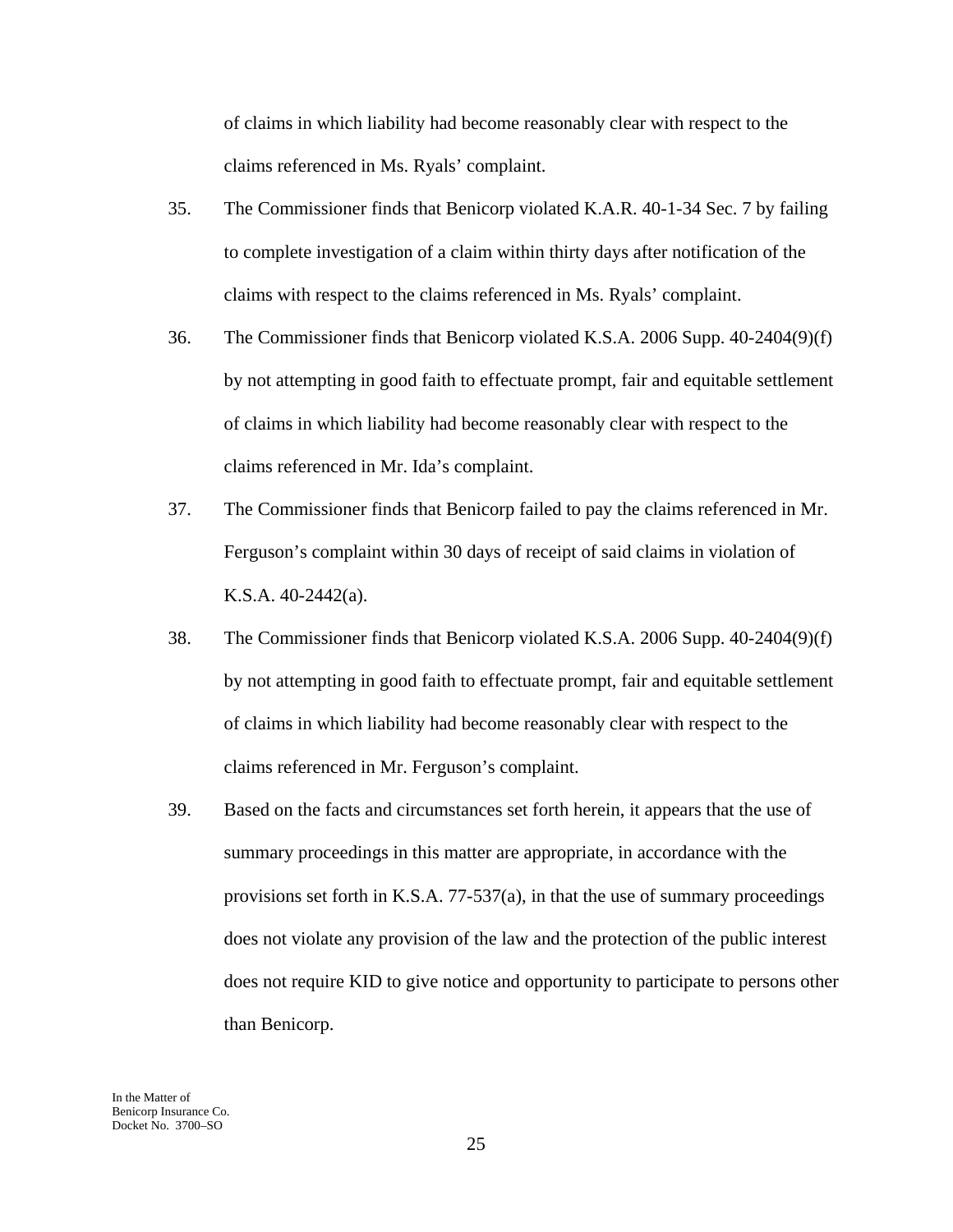of claims in which liability had become reasonably clear with respect to the claims referenced in Ms. Ryals' complaint.

- 35. The Commissioner finds that Benicorp violated K.A.R. 40-1-34 Sec. 7 by failing to complete investigation of a claim within thirty days after notification of the claims with respect to the claims referenced in Ms. Ryals' complaint.
- 36. The Commissioner finds that Benicorp violated K.S.A. 2006 Supp. 40-2404(9)(f) by not attempting in good faith to effectuate prompt, fair and equitable settlement of claims in which liability had become reasonably clear with respect to the claims referenced in Mr. Ida's complaint.
- 37. The Commissioner finds that Benicorp failed to pay the claims referenced in Mr. Ferguson's complaint within 30 days of receipt of said claims in violation of K.S.A. 40-2442(a).
- 38. The Commissioner finds that Benicorp violated K.S.A. 2006 Supp. 40-2404(9)(f) by not attempting in good faith to effectuate prompt, fair and equitable settlement of claims in which liability had become reasonably clear with respect to the claims referenced in Mr. Ferguson's complaint.
- 39. Based on the facts and circumstances set forth herein, it appears that the use of summary proceedings in this matter are appropriate, in accordance with the provisions set forth in K.S.A. 77-537(a), in that the use of summary proceedings does not violate any provision of the law and the protection of the public interest does not require KID to give notice and opportunity to participate to persons other than Benicorp.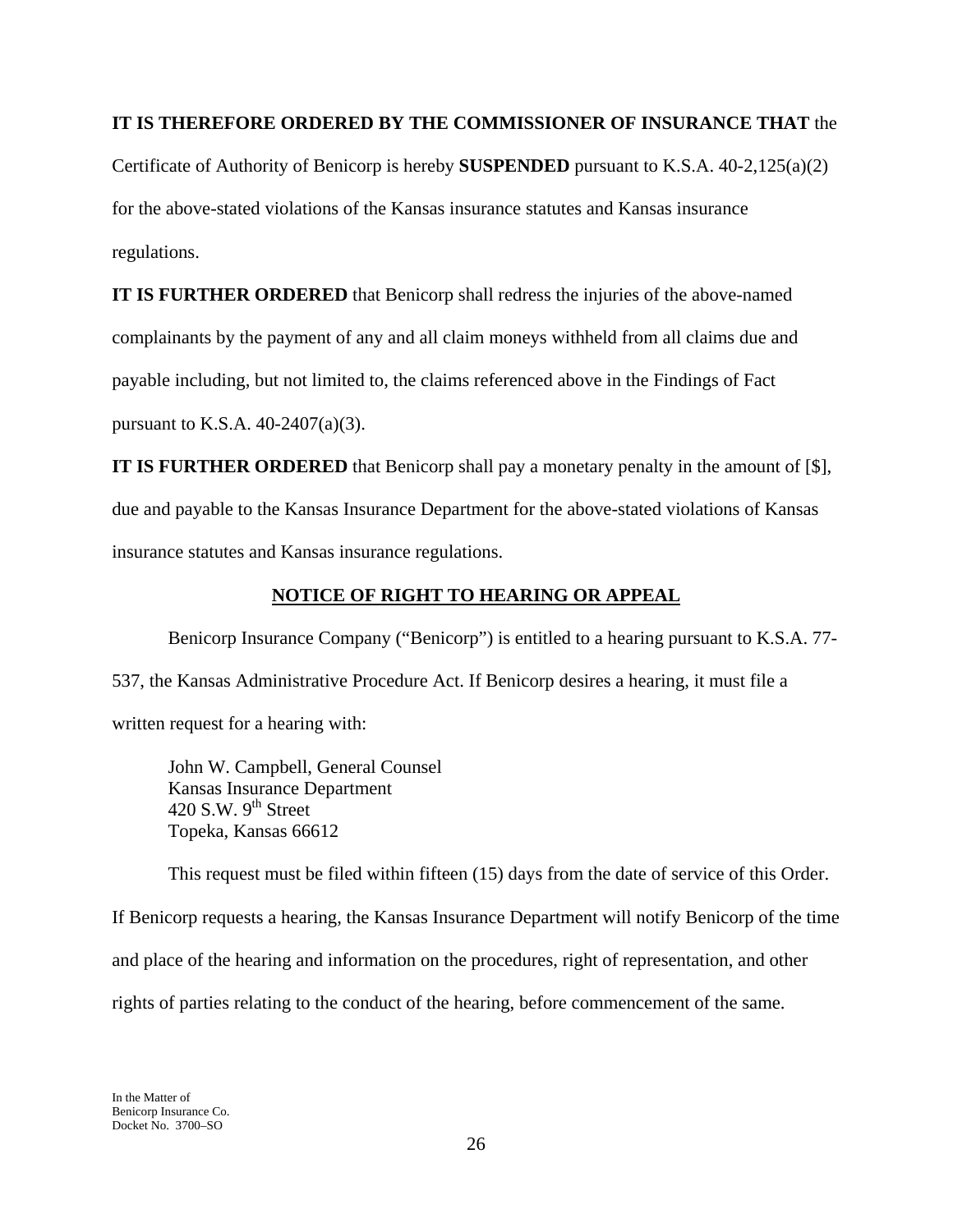### **IT IS THEREFORE ORDERED BY THE COMMISSIONER OF INSURANCE THAT** the

Certificate of Authority of Benicorp is hereby **SUSPENDED** pursuant to K.S.A. 40-2,125(a)(2) for the above-stated violations of the Kansas insurance statutes and Kansas insurance regulations.

**IT IS FURTHER ORDERED** that Benicorp shall redress the injuries of the above-named complainants by the payment of any and all claim moneys withheld from all claims due and payable including, but not limited to, the claims referenced above in the Findings of Fact pursuant to K.S.A. 40-2407(a)(3).

**IT IS FURTHER ORDERED** that Benicorp shall pay a monetary penalty in the amount of [\$], due and payable to the Kansas Insurance Department for the above-stated violations of Kansas insurance statutes and Kansas insurance regulations.

## **NOTICE OF RIGHT TO HEARING OR APPEAL**

 Benicorp Insurance Company ("Benicorp") is entitled to a hearing pursuant to K.S.A. 77- 537, the Kansas Administrative Procedure Act. If Benicorp desires a hearing, it must file a written request for a hearing with:

 John W. Campbell, General Counsel Kansas Insurance Department 420 S.W.  $9^{th}$  Street Topeka, Kansas 66612

 This request must be filed within fifteen (15) days from the date of service of this Order. If Benicorp requests a hearing, the Kansas Insurance Department will notify Benicorp of the time and place of the hearing and information on the procedures, right of representation, and other rights of parties relating to the conduct of the hearing, before commencement of the same.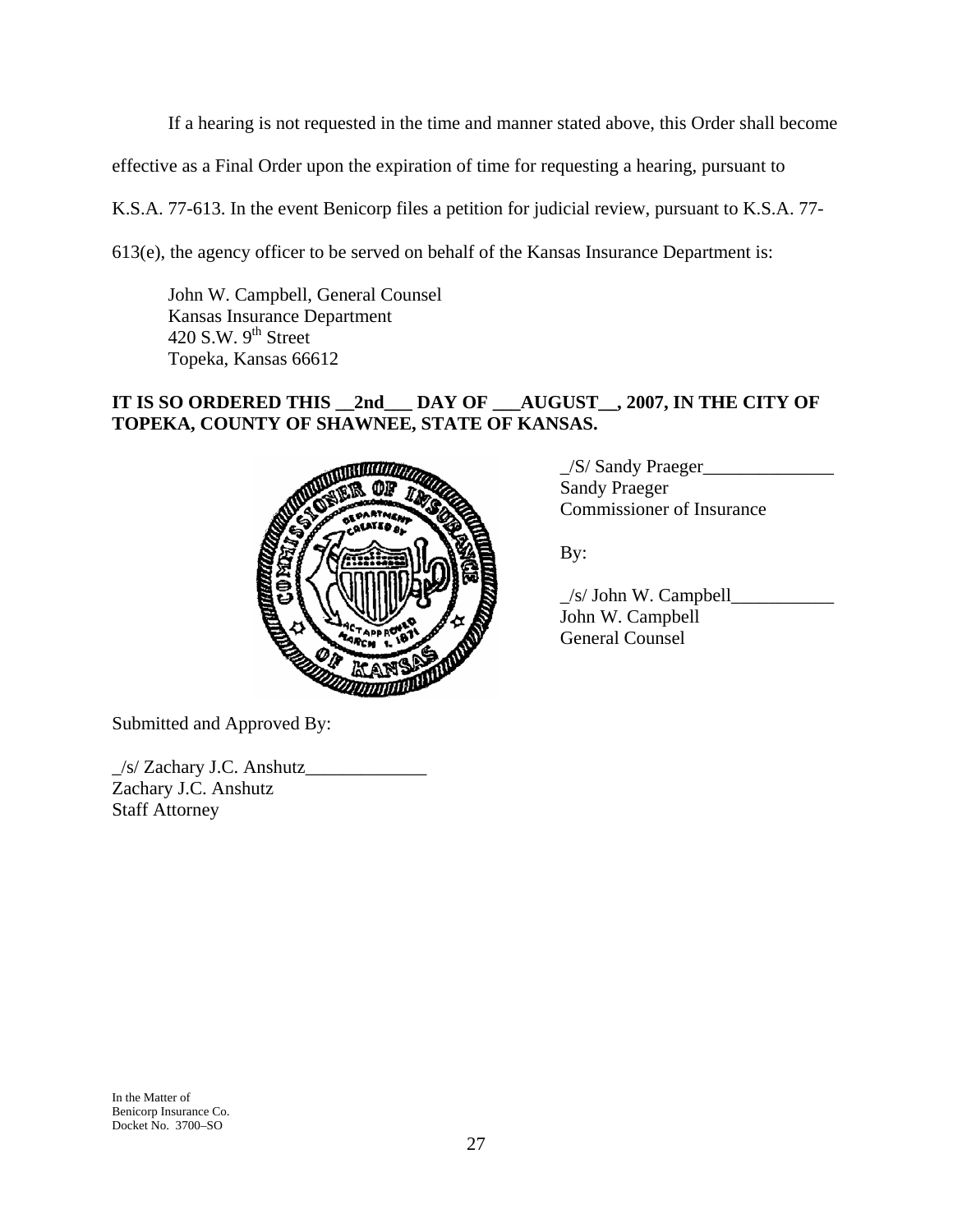If a hearing is not requested in the time and manner stated above, this Order shall become

effective as a Final Order upon the expiration of time for requesting a hearing, pursuant to

K.S.A. 77-613. In the event Benicorp files a petition for judicial review, pursuant to K.S.A. 77-

613(e), the agency officer to be served on behalf of the Kansas Insurance Department is:

 John W. Campbell, General Counsel Kansas Insurance Department 420 S.W.  $9<sup>th</sup>$  Street Topeka, Kansas 66612

# **IT IS SO ORDERED THIS \_\_2nd\_\_\_ DAY OF \_\_\_AUGUST\_\_, 2007, IN THE CITY OF TOPEKA, COUNTY OF SHAWNEE, STATE OF KANSAS.**



\_/S/ Sandy Praeger\_\_\_\_\_\_\_\_\_\_\_\_\_\_ Sandy Praeger Commissioner of Insurance

 $\angle$ s/ John W. Campbell $\angle$  John W. Campbell General Counsel

Submitted and Approved By:

\_/s/ Zachary J.C. Anshutz\_\_\_\_\_\_\_\_\_\_\_\_\_ Zachary J.C. Anshutz Staff Attorney